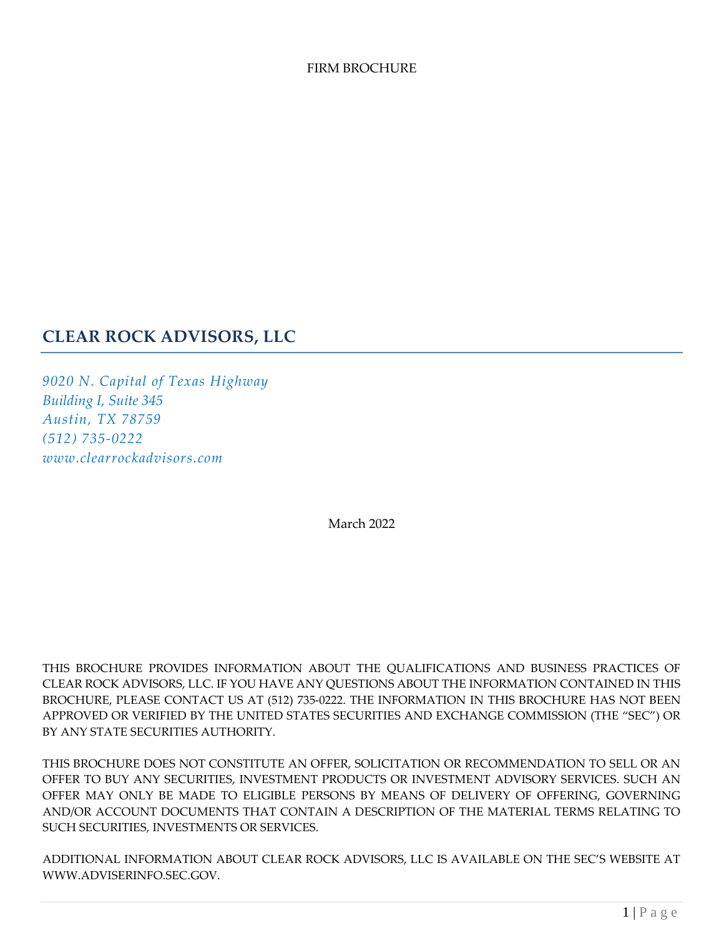#### FIRM BROCHURE

## **CLEAR ROCK ADVISORS, LLC**

*9020 N. Capital of Texas Highway Building I, Suite 345 Austin, TX 78759 (512) 735-0222 www.clearrockadvisors.com*

March 2022

THIS BROCHURE PROVIDES INFORMATION ABOUT THE QUALIFICATIONS AND BUSINESS PRACTICES OF CLEAR ROCK ADVISORS, LLC. IF YOU HAVE ANY QUESTIONS ABOUT THE INFORMATION CONTAINED IN THIS BROCHURE, PLEASE CONTACT US AT (512) 735-0222. THE INFORMATION IN THIS BROCHURE HAS NOT BEEN APPROVED OR VERIFIED BY THE UNITED STATES SECURITIES AND EXCHANGE COMMISSION (THE "SEC") OR BY ANY STATE SECURITIES AUTHORITY.

THIS BROCHURE DOES NOT CONSTITUTE AN OFFER, SOLICITATION OR RECOMMENDATION TO SELL OR AN OFFER TO BUY ANY SECURITIES, INVESTMENT PRODUCTS OR INVESTMENT ADVISORY SERVICES. SUCH AN OFFER MAY ONLY BE MADE TO ELIGIBLE PERSONS BY MEANS OF DELIVERY OF OFFERING, GOVERNING AND/OR ACCOUNT DOCUMENTS THAT CONTAIN A DESCRIPTION OF THE MATERIAL TERMS RELATING TO SUCH SECURITIES, INVESTMENTS OR SERVICES.

ADDITIONAL INFORMATION ABOUT CLEAR ROCK ADVISORS, LLC IS AVAILABLE ON THE SEC'S WEBSITE AT WWW.ADVISERINFO.SEC.GOV.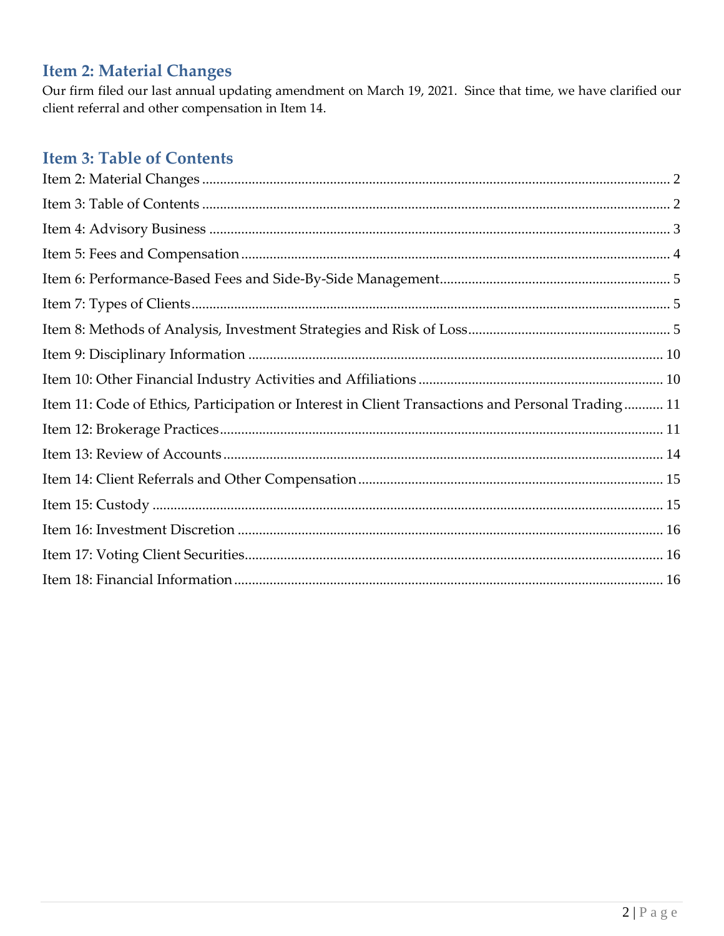# <span id="page-1-0"></span>**Item 2: Material Changes**

Our firm filed our last annual updating amendment on March 19, 2021. Since that time, we have clarified our client referral and other compensation in Item 14.

# <span id="page-1-1"></span>**Item 3: Table of Contents**

| Item 11: Code of Ethics, Participation or Interest in Client Transactions and Personal Trading 11 |  |
|---------------------------------------------------------------------------------------------------|--|
|                                                                                                   |  |
|                                                                                                   |  |
|                                                                                                   |  |
|                                                                                                   |  |
|                                                                                                   |  |
|                                                                                                   |  |
|                                                                                                   |  |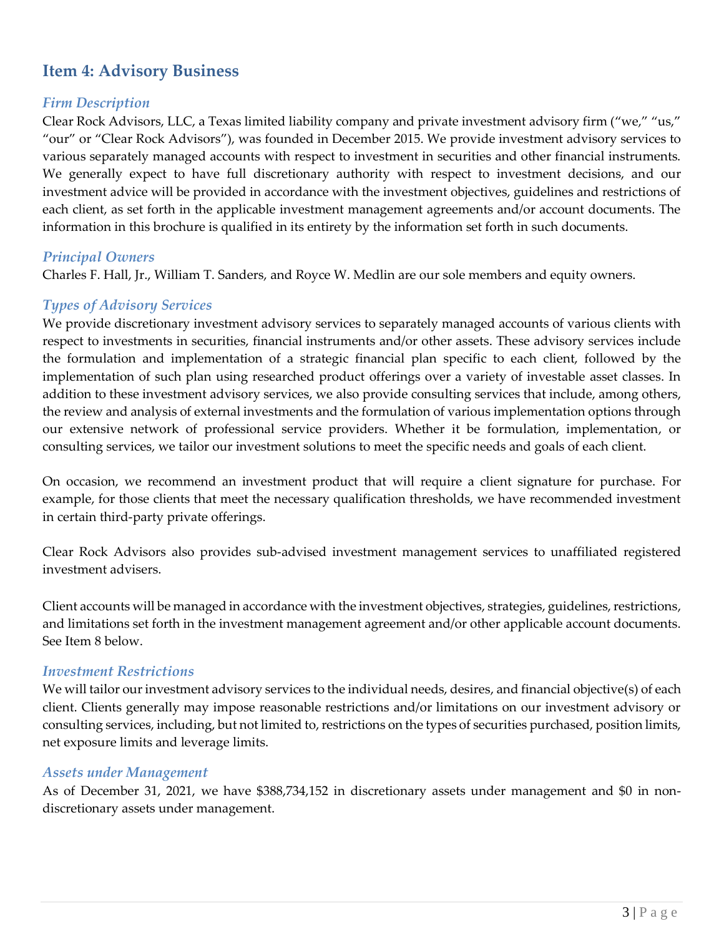# <span id="page-2-0"></span>**Item 4: Advisory Business**

#### *Firm Description*

Clear Rock Advisors, LLC, a Texas limited liability company and private investment advisory firm ("we," "us," "our" or "Clear Rock Advisors"), was founded in December 2015. We provide investment advisory services to various separately managed accounts with respect to investment in securities and other financial instruments. We generally expect to have full discretionary authority with respect to investment decisions, and our investment advice will be provided in accordance with the investment objectives, guidelines and restrictions of each client, as set forth in the applicable investment management agreements and/or account documents. The information in this brochure is qualified in its entirety by the information set forth in such documents.

#### *Principal Owners*

Charles F. Hall, Jr., William T. Sanders, and Royce W. Medlin are our sole members and equity owners.

#### *Types of Advisory Services*

We provide discretionary investment advisory services to separately managed accounts of various clients with respect to investments in securities, financial instruments and/or other assets. These advisory services include the formulation and implementation of a strategic financial plan specific to each client, followed by the implementation of such plan using researched product offerings over a variety of investable asset classes. In addition to these investment advisory services, we also provide consulting services that include, among others, the review and analysis of external investments and the formulation of various implementation options through our extensive network of professional service providers. Whether it be formulation, implementation, or consulting services, we tailor our investment solutions to meet the specific needs and goals of each client.

On occasion, we recommend an investment product that will require a client signature for purchase. For example, for those clients that meet the necessary qualification thresholds, we have recommended investment in certain third-party private offerings.

Clear Rock Advisors also provides sub-advised investment management services to unaffiliated registered investment advisers.

Client accounts will be managed in accordance with the investment objectives, strategies, guidelines, restrictions, and limitations set forth in the investment management agreement and/or other applicable account documents. See Item 8 below.

#### *Investment Restrictions*

We will tailor our investment advisory services to the individual needs, desires, and financial objective(s) of each client. Clients generally may impose reasonable restrictions and/or limitations on our investment advisory or consulting services, including, but not limited to, restrictions on the types of securities purchased, position limits, net exposure limits and leverage limits.

#### *Assets under Management*

As of December 31, 2021, we have \$388,734,152 in discretionary assets under management and \$0 in nondiscretionary assets under management.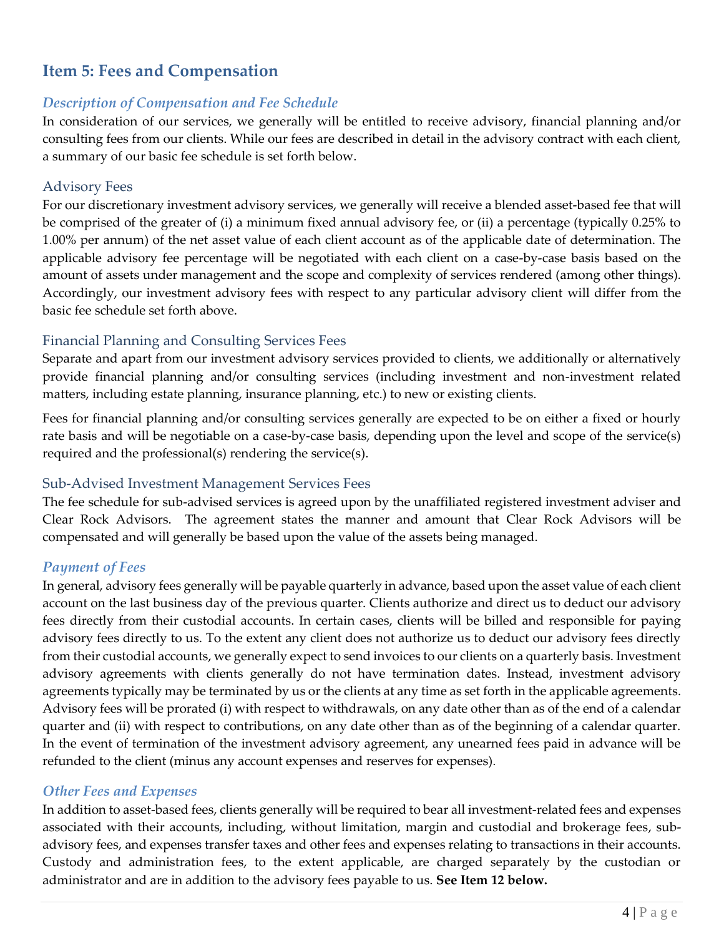# <span id="page-3-0"></span>**Item 5: Fees and Compensation**

#### *Description of Compensation and Fee Schedule*

In consideration of our services, we generally will be entitled to receive advisory, financial planning and/or consulting fees from our clients. While our fees are described in detail in the advisory contract with each client, a summary of our basic fee schedule is set forth below.

#### Advisory Fees

For our discretionary investment advisory services, we generally will receive a blended asset-based fee that will be comprised of the greater of (i) a minimum fixed annual advisory fee, or (ii) a percentage (typically 0.25% to 1.00% per annum) of the net asset value of each client account as of the applicable date of determination. The applicable advisory fee percentage will be negotiated with each client on a case-by-case basis based on the amount of assets under management and the scope and complexity of services rendered (among other things). Accordingly, our investment advisory fees with respect to any particular advisory client will differ from the basic fee schedule set forth above.

## Financial Planning and Consulting Services Fees

Separate and apart from our investment advisory services provided to clients, we additionally or alternatively provide financial planning and/or consulting services (including investment and non-investment related matters, including estate planning, insurance planning, etc.) to new or existing clients.

Fees for financial planning and/or consulting services generally are expected to be on either a fixed or hourly rate basis and will be negotiable on a case-by-case basis, depending upon the level and scope of the service(s) required and the professional(s) rendering the service(s).

## Sub-Advised Investment Management Services Fees

The fee schedule for sub-advised services is agreed upon by the unaffiliated registered investment adviser and Clear Rock Advisors. The agreement states the manner and amount that Clear Rock Advisors will be compensated and will generally be based upon the value of the assets being managed.

## *Payment of Fees*

In general, advisory fees generally will be payable quarterly in advance, based upon the asset value of each client account on the last business day of the previous quarter. Clients authorize and direct us to deduct our advisory fees directly from their custodial accounts. In certain cases, clients will be billed and responsible for paying advisory fees directly to us. To the extent any client does not authorize us to deduct our advisory fees directly from their custodial accounts, we generally expect to send invoices to our clients on a quarterly basis. Investment advisory agreements with clients generally do not have termination dates. Instead, investment advisory agreements typically may be terminated by us or the clients at any time as set forth in the applicable agreements. Advisory fees will be prorated (i) with respect to withdrawals, on any date other than as of the end of a calendar quarter and (ii) with respect to contributions, on any date other than as of the beginning of a calendar quarter. In the event of termination of the investment advisory agreement, any unearned fees paid in advance will be refunded to the client (minus any account expenses and reserves for expenses).

#### *Other Fees and Expenses*

In addition to asset-based fees, clients generally will be required to bear all investment-related fees and expenses associated with their accounts, including, without limitation, margin and custodial and brokerage fees, subadvisory fees, and expenses transfer taxes and other fees and expenses relating to transactions in their accounts. Custody and administration fees, to the extent applicable, are charged separately by the custodian or administrator and are in addition to the advisory fees payable to us. **See Item 12 below.**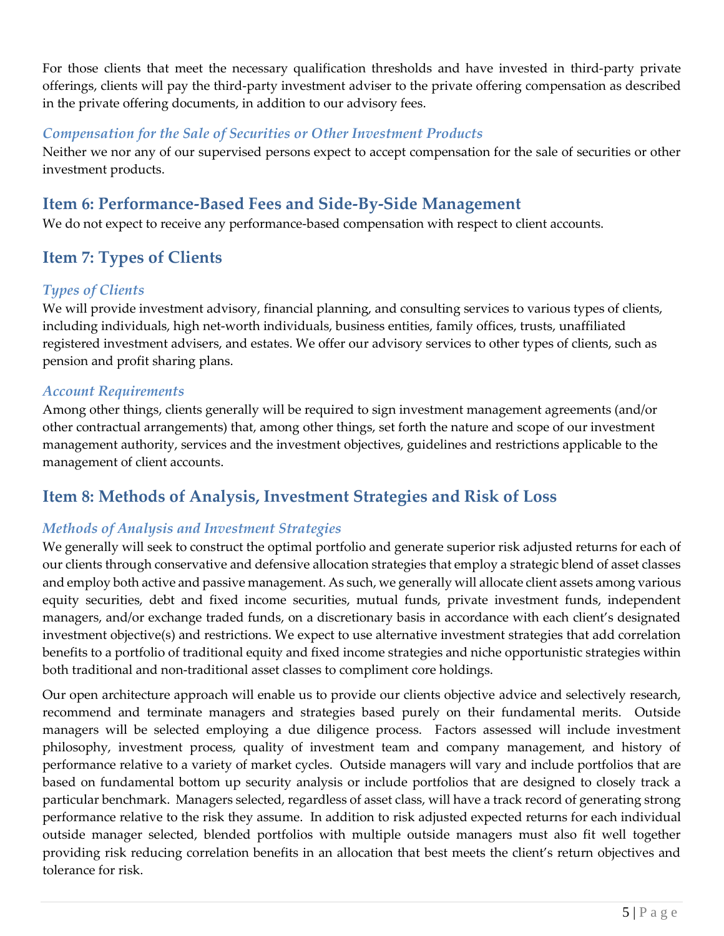For those clients that meet the necessary qualification thresholds and have invested in third-party private offerings, clients will pay the third-party investment adviser to the private offering compensation as described in the private offering documents, in addition to our advisory fees.

### *Compensation for the Sale of Securities or Other Investment Products*

Neither we nor any of our supervised persons expect to accept compensation for the sale of securities or other investment products.

# <span id="page-4-0"></span>**Item 6: Performance-Based Fees and Side-By-Side Management**

<span id="page-4-1"></span>We do not expect to receive any performance-based compensation with respect to client accounts.

## **Item 7: Types of Clients**

## *Types of Clients*

We will provide investment advisory, financial planning, and consulting services to various types of clients, including individuals, high net-worth individuals, business entities, family offices, trusts, unaffiliated registered investment advisers, and estates. We offer our advisory services to other types of clients, such as pension and profit sharing plans.

#### *Account Requirements*

Among other things, clients generally will be required to sign investment management agreements (and/or other contractual arrangements) that, among other things, set forth the nature and scope of our investment management authority, services and the investment objectives, guidelines and restrictions applicable to the management of client accounts.

# <span id="page-4-2"></span>**Item 8: Methods of Analysis, Investment Strategies and Risk of Loss**

## *Methods of Analysis and Investment Strategies*

We generally will seek to construct the optimal portfolio and generate superior risk adjusted returns for each of our clients through conservative and defensive allocation strategies that employ a strategic blend of asset classes and employ both active and passive management. As such, we generally will allocate client assets among various equity securities, debt and fixed income securities, mutual funds, private investment funds, independent managers, and/or exchange traded funds, on a discretionary basis in accordance with each client's designated investment objective(s) and restrictions. We expect to use alternative investment strategies that add correlation benefits to a portfolio of traditional equity and fixed income strategies and niche opportunistic strategies within both traditional and non-traditional asset classes to compliment core holdings.

Our open architecture approach will enable us to provide our clients objective advice and selectively research, recommend and terminate managers and strategies based purely on their fundamental merits. Outside managers will be selected employing a due diligence process. Factors assessed will include investment philosophy, investment process, quality of investment team and company management, and history of performance relative to a variety of market cycles. Outside managers will vary and include portfolios that are based on fundamental bottom up security analysis or include portfolios that are designed to closely track a particular benchmark. Managers selected, regardless of asset class, will have a track record of generating strong performance relative to the risk they assume. In addition to risk adjusted expected returns for each individual outside manager selected, blended portfolios with multiple outside managers must also fit well together providing risk reducing correlation benefits in an allocation that best meets the client's return objectives and tolerance for risk.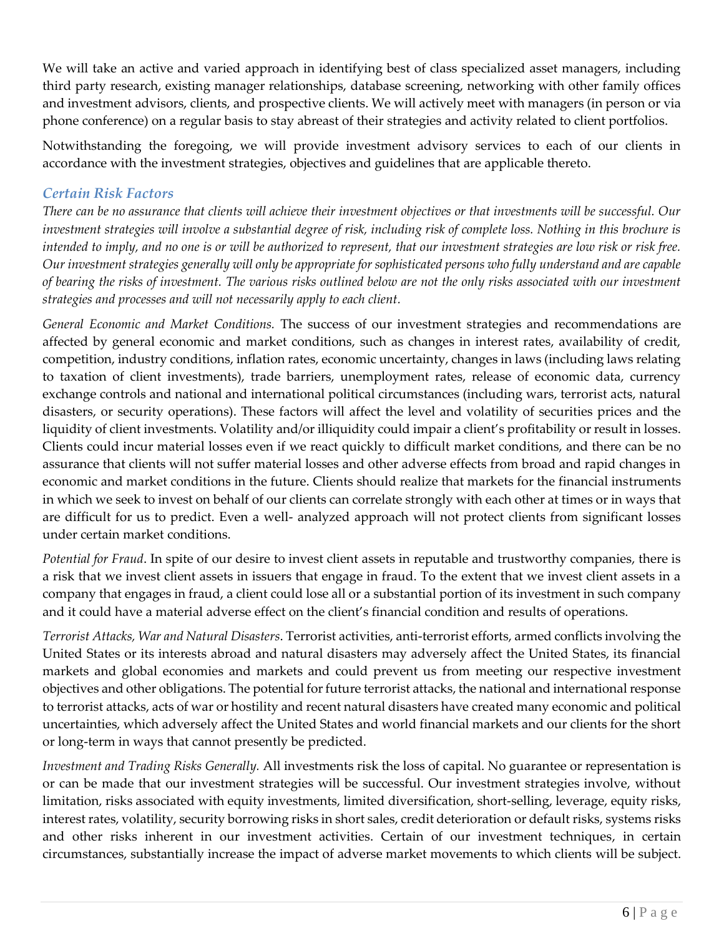We will take an active and varied approach in identifying best of class specialized asset managers, including third party research, existing manager relationships, database screening, networking with other family offices and investment advisors, clients, and prospective clients. We will actively meet with managers (in person or via phone conference) on a regular basis to stay abreast of their strategies and activity related to client portfolios.

Notwithstanding the foregoing, we will provide investment advisory services to each of our clients in accordance with the investment strategies, objectives and guidelines that are applicable thereto.

## *Certain Risk Factors*

*There can be no assurance that clients will achieve their investment objectives or that investments will be successful. Our investment strategies will involve a substantial degree of risk, including risk of complete loss. Nothing in this brochure is intended to imply, and no one is or will be authorized to represent, that our investment strategies are low risk or risk free. Our investment strategies generally will only be appropriate for sophisticated persons who fully understand and are capable of bearing the risks of investment. The various risks outlined below are not the only risks associated with our investment strategies and processes and will not necessarily apply to each client.*

*General Economic and Market Conditions.* The success of our investment strategies and recommendations are affected by general economic and market conditions, such as changes in interest rates, availability of credit, competition, industry conditions, inflation rates, economic uncertainty, changes in laws (including laws relating to taxation of client investments), trade barriers, unemployment rates, release of economic data, currency exchange controls and national and international political circumstances (including wars, terrorist acts, natural disasters, or security operations). These factors will affect the level and volatility of securities prices and the liquidity of client investments. Volatility and/or illiquidity could impair a client's profitability or result in losses. Clients could incur material losses even if we react quickly to difficult market conditions, and there can be no assurance that clients will not suffer material losses and other adverse effects from broad and rapid changes in economic and market conditions in the future. Clients should realize that markets for the financial instruments in which we seek to invest on behalf of our clients can correlate strongly with each other at times or in ways that are difficult for us to predict. Even a well- analyzed approach will not protect clients from significant losses under certain market conditions.

*Potential for Fraud*. In spite of our desire to invest client assets in reputable and trustworthy companies, there is a risk that we invest client assets in issuers that engage in fraud. To the extent that we invest client assets in a company that engages in fraud, a client could lose all or a substantial portion of its investment in such company and it could have a material adverse effect on the client's financial condition and results of operations.

*Terrorist Attacks, War and Natural Disasters*. Terrorist activities, anti-terrorist efforts, armed conflicts involving the United States or its interests abroad and natural disasters may adversely affect the United States, its financial markets and global economies and markets and could prevent us from meeting our respective investment objectives and other obligations. The potential for future terrorist attacks, the national and international response to terrorist attacks, acts of war or hostility and recent natural disasters have created many economic and political uncertainties, which adversely affect the United States and world financial markets and our clients for the short or long-term in ways that cannot presently be predicted.

*Investment and Trading Risks Generally.* All investments risk the loss of capital. No guarantee or representation is or can be made that our investment strategies will be successful. Our investment strategies involve, without limitation, risks associated with equity investments, limited diversification, short-selling, leverage, equity risks, interest rates, volatility, security borrowing risks in short sales, credit deterioration or default risks, systems risks and other risks inherent in our investment activities. Certain of our investment techniques, in certain circumstances, substantially increase the impact of adverse market movements to which clients will be subject.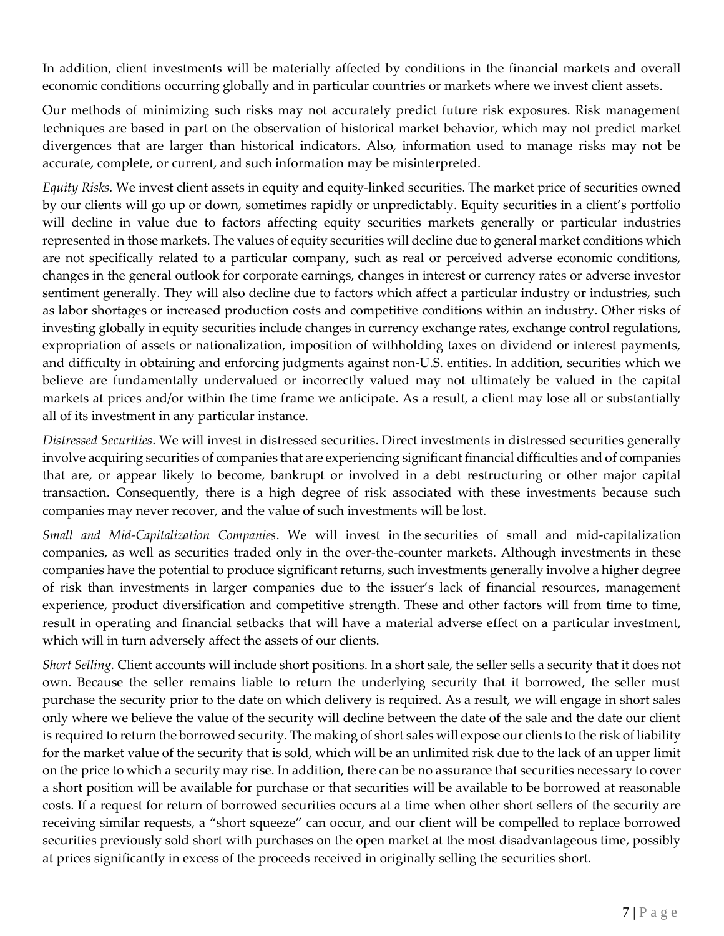In addition, client investments will be materially affected by conditions in the financial markets and overall economic conditions occurring globally and in particular countries or markets where we invest client assets.

Our methods of minimizing such risks may not accurately predict future risk exposures. Risk management techniques are based in part on the observation of historical market behavior, which may not predict market divergences that are larger than historical indicators. Also, information used to manage risks may not be accurate, complete, or current, and such information may be misinterpreted.

*Equity Risks.* We invest client assets in equity and equity-linked securities. The market price of securities owned by our clients will go up or down, sometimes rapidly or unpredictably. Equity securities in a client's portfolio will decline in value due to factors affecting equity securities markets generally or particular industries represented in those markets. The values of equity securities will decline due to general market conditions which are not specifically related to a particular company, such as real or perceived adverse economic conditions, changes in the general outlook for corporate earnings, changes in interest or currency rates or adverse investor sentiment generally. They will also decline due to factors which affect a particular industry or industries, such as labor shortages or increased production costs and competitive conditions within an industry. Other risks of investing globally in equity securities include changes in currency exchange rates, exchange control regulations, expropriation of assets or nationalization, imposition of withholding taxes on dividend or interest payments, and difficulty in obtaining and enforcing judgments against non-U.S. entities. In addition, securities which we believe are fundamentally undervalued or incorrectly valued may not ultimately be valued in the capital markets at prices and/or within the time frame we anticipate. As a result, a client may lose all or substantially all of its investment in any particular instance.

*Distressed Securities*. We will invest in distressed securities. Direct investments in distressed securities generally involve acquiring securities of companies that are experiencing significant financial difficulties and of companies that are, or appear likely to become, bankrupt or involved in a debt restructuring or other major capital transaction. Consequently, there is a high degree of risk associated with these investments because such companies may never recover, and the value of such investments will be lost.

*Small and Mid-Capitalization Companies*. We will invest in the securities of small and mid-capitalization companies, as well as securities traded only in the over-the-counter markets. Although investments in these companies have the potential to produce significant returns, such investments generally involve a higher degree of risk than investments in larger companies due to the issuer's lack of financial resources, management experience, product diversification and competitive strength. These and other factors will from time to time, result in operating and financial setbacks that will have a material adverse effect on a particular investment, which will in turn adversely affect the assets of our clients.

*Short Selling.* Client accounts will include short positions. In a short sale, the seller sells a security that it does not own. Because the seller remains liable to return the underlying security that it borrowed, the seller must purchase the security prior to the date on which delivery is required. As a result, we will engage in short sales only where we believe the value of the security will decline between the date of the sale and the date our client is required to return the borrowed security. The making of short sales will expose our clients to the risk of liability for the market value of the security that is sold, which will be an unlimited risk due to the lack of an upper limit on the price to which a security may rise. In addition, there can be no assurance that securities necessary to cover a short position will be available for purchase or that securities will be available to be borrowed at reasonable costs. If a request for return of borrowed securities occurs at a time when other short sellers of the security are receiving similar requests, a "short squeeze" can occur, and our client will be compelled to replace borrowed securities previously sold short with purchases on the open market at the most disadvantageous time, possibly at prices significantly in excess of the proceeds received in originally selling the securities short.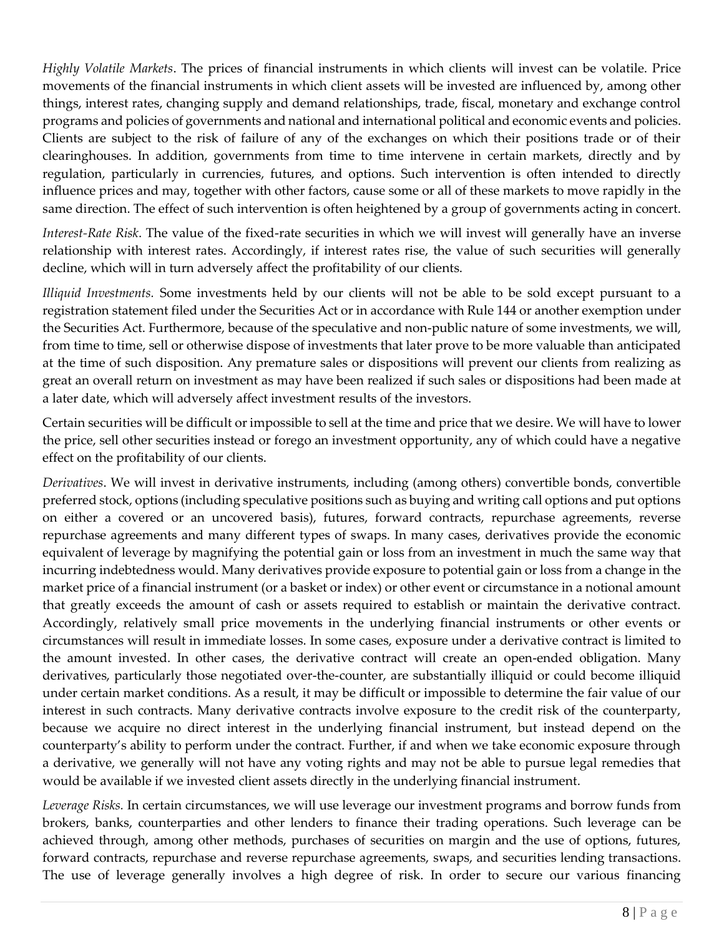*Highly Volatile Markets*. The prices of financial instruments in which clients will invest can be volatile. Price movements of the financial instruments in which client assets will be invested are influenced by, among other things, interest rates, changing supply and demand relationships, trade, fiscal, monetary and exchange control programs and policies of governments and national and international political and economic events and policies. Clients are subject to the risk of failure of any of the exchanges on which their positions trade or of their clearinghouses. In addition, governments from time to time intervene in certain markets, directly and by regulation, particularly in currencies, futures, and options. Such intervention is often intended to directly influence prices and may, together with other factors, cause some or all of these markets to move rapidly in the same direction. The effect of such intervention is often heightened by a group of governments acting in concert.

*Interest-Rate Risk*. The value of the fixed-rate securities in which we will invest will generally have an inverse relationship with interest rates. Accordingly, if interest rates rise, the value of such securities will generally decline, which will in turn adversely affect the profitability of our clients.

*Illiquid Investments.* Some investments held by our clients will not be able to be sold except pursuant to a registration statement filed under the Securities Act or in accordance with Rule 144 or another exemption under the Securities Act. Furthermore, because of the speculative and non-public nature of some investments, we will, from time to time, sell or otherwise dispose of investments that later prove to be more valuable than anticipated at the time of such disposition. Any premature sales or dispositions will prevent our clients from realizing as great an overall return on investment as may have been realized if such sales or dispositions had been made at a later date, which will adversely affect investment results of the investors.

Certain securities will be difficult or impossible to sell at the time and price that we desire. We will have to lower the price, sell other securities instead or forego an investment opportunity, any of which could have a negative effect on the profitability of our clients.

*Derivatives*. We will invest in derivative instruments, including (among others) convertible bonds, convertible preferred stock, options (including speculative positions such as buying and writing call options and put options on either a covered or an uncovered basis), futures, forward contracts, repurchase agreements, reverse repurchase agreements and many different types of swaps. In many cases, derivatives provide the economic equivalent of leverage by magnifying the potential gain or loss from an investment in much the same way that incurring indebtedness would. Many derivatives provide exposure to potential gain or loss from a change in the market price of a financial instrument (or a basket or index) or other event or circumstance in a notional amount that greatly exceeds the amount of cash or assets required to establish or maintain the derivative contract. Accordingly, relatively small price movements in the underlying financial instruments or other events or circumstances will result in immediate losses. In some cases, exposure under a derivative contract is limited to the amount invested. In other cases, the derivative contract will create an open-ended obligation. Many derivatives, particularly those negotiated over-the-counter, are substantially illiquid or could become illiquid under certain market conditions. As a result, it may be difficult or impossible to determine the fair value of our interest in such contracts. Many derivative contracts involve exposure to the credit risk of the counterparty, because we acquire no direct interest in the underlying financial instrument, but instead depend on the counterparty's ability to perform under the contract. Further, if and when we take economic exposure through a derivative, we generally will not have any voting rights and may not be able to pursue legal remedies that would be available if we invested client assets directly in the underlying financial instrument.

*Leverage Risks.* In certain circumstances, we will use leverage our investment programs and borrow funds from brokers, banks, counterparties and other lenders to finance their trading operations. Such leverage can be achieved through, among other methods, purchases of securities on margin and the use of options, futures, forward contracts, repurchase and reverse repurchase agreements, swaps, and securities lending transactions. The use of leverage generally involves a high degree of risk. In order to secure our various financing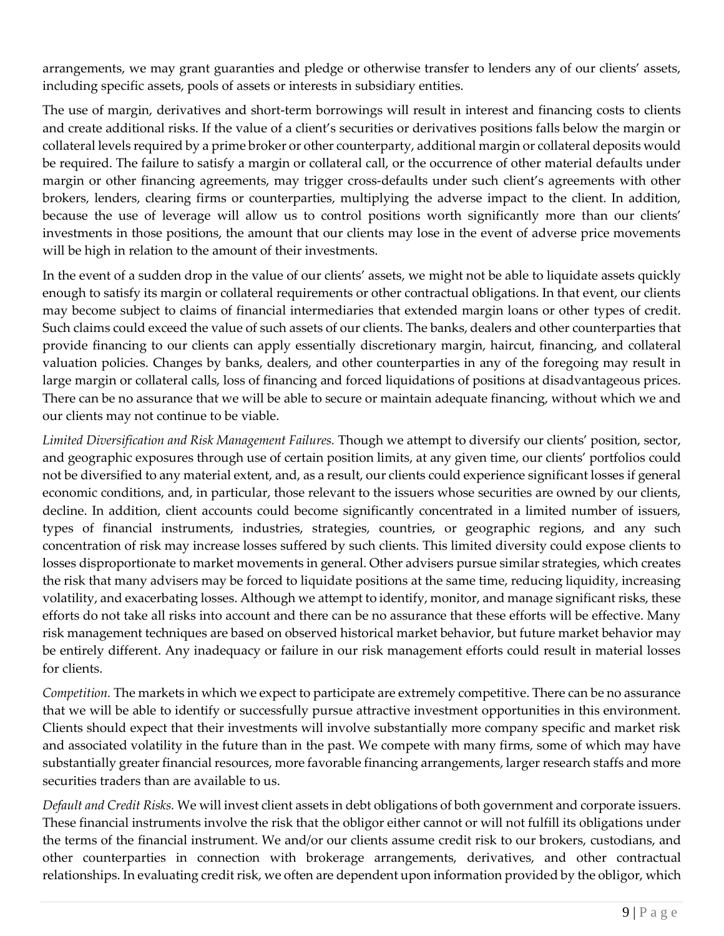arrangements, we may grant guaranties and pledge or otherwise transfer to lenders any of our clients' assets, including specific assets, pools of assets or interests in subsidiary entities.

The use of margin, derivatives and short-term borrowings will result in interest and financing costs to clients and create additional risks. If the value of a client's securities or derivatives positions falls below the margin or collateral levels required by a prime broker or other counterparty, additional margin or collateral deposits would be required. The failure to satisfy a margin or collateral call, or the occurrence of other material defaults under margin or other financing agreements, may trigger cross-defaults under such client's agreements with other brokers, lenders, clearing firms or counterparties, multiplying the adverse impact to the client. In addition, because the use of leverage will allow us to control positions worth significantly more than our clients' investments in those positions, the amount that our clients may lose in the event of adverse price movements will be high in relation to the amount of their investments.

In the event of a sudden drop in the value of our clients' assets, we might not be able to liquidate assets quickly enough to satisfy its margin or collateral requirements or other contractual obligations. In that event, our clients may become subject to claims of financial intermediaries that extended margin loans or other types of credit. Such claims could exceed the value of such assets of our clients. The banks, dealers and other counterparties that provide financing to our clients can apply essentially discretionary margin, haircut, financing, and collateral valuation policies. Changes by banks, dealers, and other counterparties in any of the foregoing may result in large margin or collateral calls, loss of financing and forced liquidations of positions at disadvantageous prices. There can be no assurance that we will be able to secure or maintain adequate financing, without which we and our clients may not continue to be viable.

*Limited Diversification and Risk Management Failures.* Though we attempt to diversify our clients' position, sector, and geographic exposures through use of certain position limits, at any given time, our clients' portfolios could not be diversified to any material extent, and, as a result, our clients could experience significant losses if general economic conditions, and, in particular, those relevant to the issuers whose securities are owned by our clients, decline. In addition, client accounts could become significantly concentrated in a limited number of issuers, types of financial instruments, industries, strategies, countries, or geographic regions, and any such concentration of risk may increase losses suffered by such clients. This limited diversity could expose clients to losses disproportionate to market movements in general. Other advisers pursue similar strategies, which creates the risk that many advisers may be forced to liquidate positions at the same time, reducing liquidity, increasing volatility, and exacerbating losses. Although we attempt to identify, monitor, and manage significant risks, these efforts do not take all risks into account and there can be no assurance that these efforts will be effective. Many risk management techniques are based on observed historical market behavior, but future market behavior may be entirely different. Any inadequacy or failure in our risk management efforts could result in material losses for clients.

*Competition.* The markets in which we expect to participate are extremely competitive. There can be no assurance that we will be able to identify or successfully pursue attractive investment opportunities in this environment. Clients should expect that their investments will involve substantially more company specific and market risk and associated volatility in the future than in the past. We compete with many firms, some of which may have substantially greater financial resources, more favorable financing arrangements, larger research staffs and more securities traders than are available to us.

*Default and Credit Risks.* We will invest client assets in debt obligations of both government and corporate issuers. These financial instruments involve the risk that the obligor either cannot or will not fulfill its obligations under the terms of the financial instrument. We and/or our clients assume credit risk to our brokers, custodians, and other counterparties in connection with brokerage arrangements, derivatives, and other contractual relationships. In evaluating credit risk, we often are dependent upon information provided by the obligor, which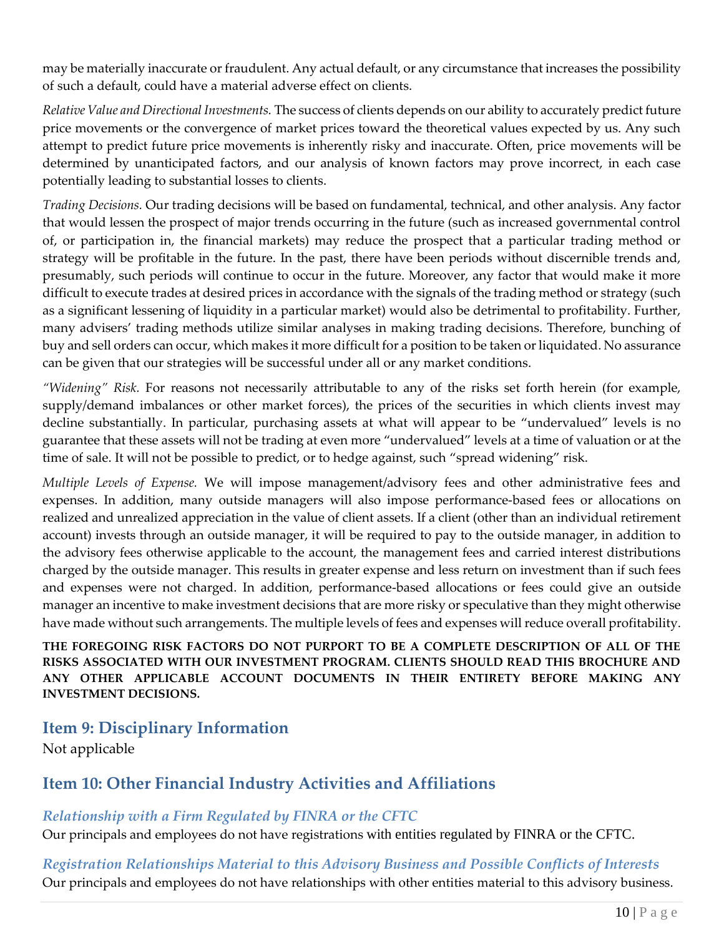may be materially inaccurate or fraudulent. Any actual default, or any circumstance that increases the possibility of such a default, could have a material adverse effect on clients.

*Relative Value and Directional Investments.* The success of clients depends on our ability to accurately predict future price movements or the convergence of market prices toward the theoretical values expected by us. Any such attempt to predict future price movements is inherently risky and inaccurate. Often, price movements will be determined by unanticipated factors, and our analysis of known factors may prove incorrect, in each case potentially leading to substantial losses to clients.

*Trading Decisions.* Our trading decisions will be based on fundamental, technical, and other analysis. Any factor that would lessen the prospect of major trends occurring in the future (such as increased governmental control of, or participation in, the financial markets) may reduce the prospect that a particular trading method or strategy will be profitable in the future. In the past, there have been periods without discernible trends and, presumably, such periods will continue to occur in the future. Moreover, any factor that would make it more difficult to execute trades at desired prices in accordance with the signals of the trading method or strategy (such as a significant lessening of liquidity in a particular market) would also be detrimental to profitability. Further, many advisers' trading methods utilize similar analyses in making trading decisions. Therefore, bunching of buy and sell orders can occur, which makes it more difficult for a position to be taken or liquidated. No assurance can be given that our strategies will be successful under all or any market conditions.

*"Widening" Risk.* For reasons not necessarily attributable to any of the risks set forth herein (for example, supply/demand imbalances or other market forces), the prices of the securities in which clients invest may decline substantially. In particular, purchasing assets at what will appear to be "undervalued" levels is no guarantee that these assets will not be trading at even more "undervalued" levels at a time of valuation or at the time of sale. It will not be possible to predict, or to hedge against, such "spread widening" risk.

*Multiple Levels of Expense.* We will impose management/advisory fees and other administrative fees and expenses. In addition, many outside managers will also impose performance-based fees or allocations on realized and unrealized appreciation in the value of client assets. If a client (other than an individual retirement account) invests through an outside manager, it will be required to pay to the outside manager, in addition to the advisory fees otherwise applicable to the account, the management fees and carried interest distributions charged by the outside manager. This results in greater expense and less return on investment than if such fees and expenses were not charged. In addition, performance-based allocations or fees could give an outside manager an incentive to make investment decisions that are more risky or speculative than they might otherwise have made without such arrangements. The multiple levels of fees and expenses will reduce overall profitability.

**THE FOREGOING RISK FACTORS DO NOT PURPORT TO BE A COMPLETE DESCRIPTION OF ALL OF THE RISKS ASSOCIATED WITH OUR INVESTMENT PROGRAM. CLIENTS SHOULD READ THIS BROCHURE AND ANY OTHER APPLICABLE ACCOUNT DOCUMENTS IN THEIR ENTIRETY BEFORE MAKING ANY INVESTMENT DECISIONS.**

## <span id="page-9-0"></span>**Item 9: Disciplinary Information**

<span id="page-9-1"></span>Not applicable

## **Item 10: Other Financial Industry Activities and Affiliations**

## *Relationship with a Firm Regulated by FINRA or the CFTC*

Our principals and employees do not have registrations with entities regulated by FINRA or the CFTC.

*Registration Relationships Material to this Advisory Business and Possible Conflicts of Interests* Our principals and employees do not have relationships with other entities material to this advisory business.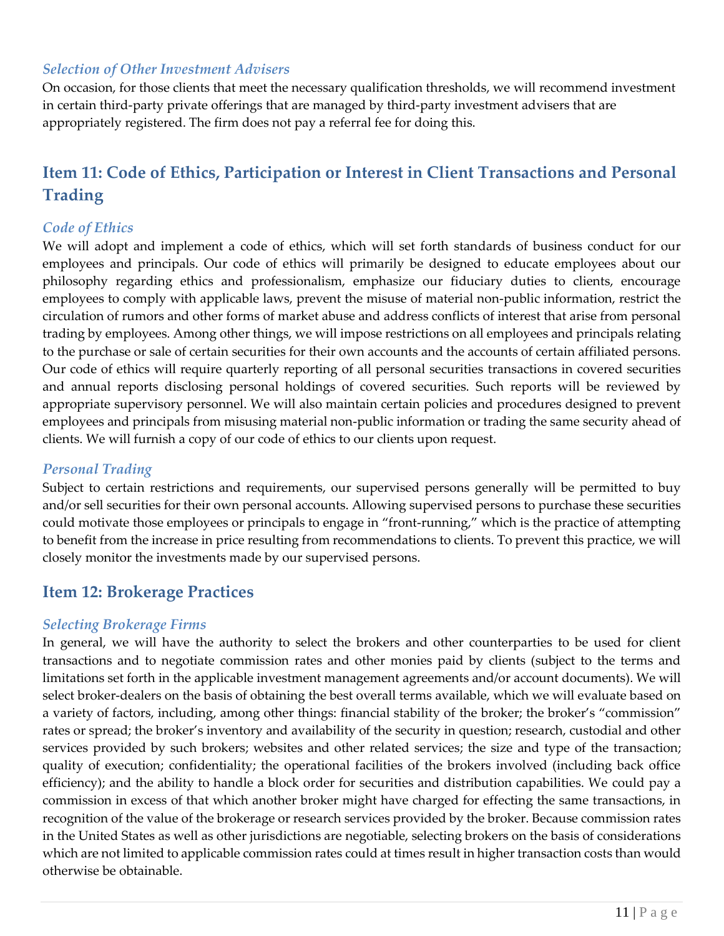### *Selection of Other Investment Advisers*

On occasion, for those clients that meet the necessary qualification thresholds, we will recommend investment in certain third-party private offerings that are managed by third-party investment advisers that are appropriately registered. The firm does not pay a referral fee for doing this.

# <span id="page-10-0"></span>**Item 11: Code of Ethics, Participation or Interest in Client Transactions and Personal Trading**

## *Code of Ethics*

We will adopt and implement a code of ethics, which will set forth standards of business conduct for our employees and principals. Our code of ethics will primarily be designed to educate employees about our philosophy regarding ethics and professionalism, emphasize our fiduciary duties to clients, encourage employees to comply with applicable laws, prevent the misuse of material non-public information, restrict the circulation of rumors and other forms of market abuse and address conflicts of interest that arise from personal trading by employees. Among other things, we will impose restrictions on all employees and principals relating to the purchase or sale of certain securities for their own accounts and the accounts of certain affiliated persons. Our code of ethics will require quarterly reporting of all personal securities transactions in covered securities and annual reports disclosing personal holdings of covered securities. Such reports will be reviewed by appropriate supervisory personnel. We will also maintain certain policies and procedures designed to prevent employees and principals from misusing material non-public information or trading the same security ahead of clients. We will furnish a copy of our code of ethics to our clients upon request.

#### *Personal Trading*

Subject to certain restrictions and requirements, our supervised persons generally will be permitted to buy and/or sell securities for their own personal accounts. Allowing supervised persons to purchase these securities could motivate those employees or principals to engage in "front-running," which is the practice of attempting to benefit from the increase in price resulting from recommendations to clients. To prevent this practice, we will closely monitor the investments made by our supervised persons.

## <span id="page-10-1"></span>**Item 12: Brokerage Practices**

#### *Selecting Brokerage Firms*

In general, we will have the authority to select the brokers and other counterparties to be used for client transactions and to negotiate commission rates and other monies paid by clients (subject to the terms and limitations set forth in the applicable investment management agreements and/or account documents). We will select broker-dealers on the basis of obtaining the best overall terms available, which we will evaluate based on a variety of factors, including, among other things: financial stability of the broker; the broker's "commission" rates or spread; the broker's inventory and availability of the security in question; research, custodial and other services provided by such brokers; websites and other related services; the size and type of the transaction; quality of execution; confidentiality; the operational facilities of the brokers involved (including back office efficiency); and the ability to handle a block order for securities and distribution capabilities. We could pay a commission in excess of that which another broker might have charged for effecting the same transactions, in recognition of the value of the brokerage or research services provided by the broker. Because commission rates in the United States as well as other jurisdictions are negotiable, selecting brokers on the basis of considerations which are not limited to applicable commission rates could at times result in higher transaction costs than would otherwise be obtainable.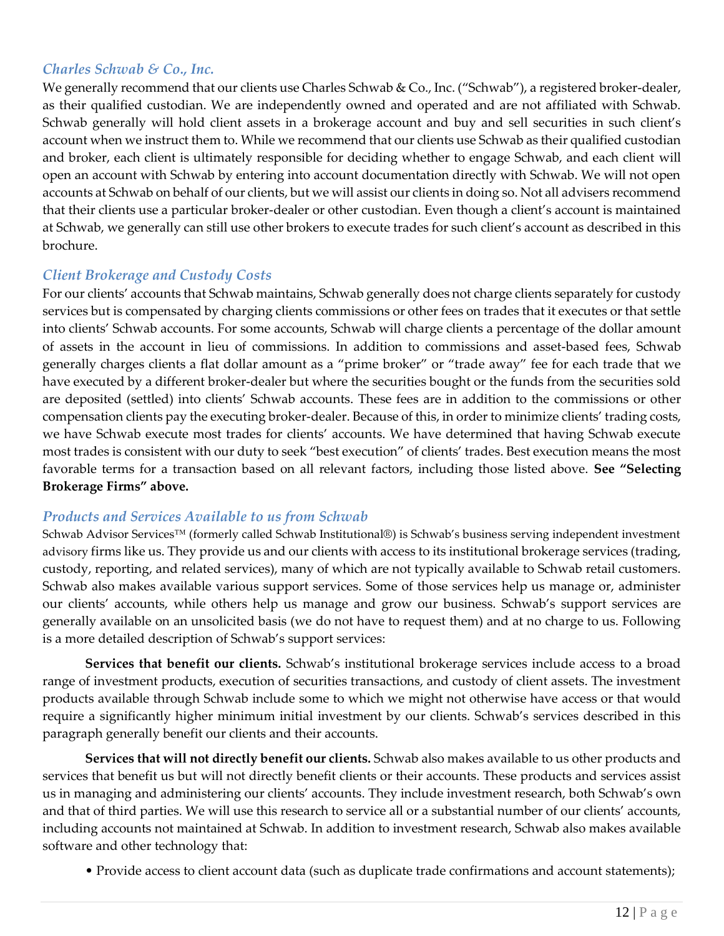## *Charles Schwab & Co., Inc.*

We generally recommend that our clients use Charles Schwab & Co., Inc. ("Schwab"), a registered broker-dealer, as their qualified custodian. We are independently owned and operated and are not affiliated with Schwab. Schwab generally will hold client assets in a brokerage account and buy and sell securities in such client's account when we instruct them to. While we recommend that our clients use Schwab as their qualified custodian and broker, each client is ultimately responsible for deciding whether to engage Schwab, and each client will open an account with Schwab by entering into account documentation directly with Schwab. We will not open accounts at Schwab on behalf of our clients, but we will assist our clients in doing so. Not all advisers recommend that their clients use a particular broker-dealer or other custodian. Even though a client's account is maintained at Schwab, we generally can still use other brokers to execute trades for such client's account as described in this brochure.

#### *Client Brokerage and Custody Costs*

For our clients' accounts that Schwab maintains, Schwab generally does not charge clients separately for custody services but is compensated by charging clients commissions or other fees on trades that it executes or that settle into clients' Schwab accounts. For some accounts, Schwab will charge clients a percentage of the dollar amount of assets in the account in lieu of commissions. In addition to commissions and asset-based fees, Schwab generally charges clients a flat dollar amount as a "prime broker" or "trade away" fee for each trade that we have executed by a different broker-dealer but where the securities bought or the funds from the securities sold are deposited (settled) into clients' Schwab accounts. These fees are in addition to the commissions or other compensation clients pay the executing broker-dealer. Because of this, in order to minimize clients' trading costs, we have Schwab execute most trades for clients' accounts. We have determined that having Schwab execute most trades is consistent with our duty to seek "best execution" of clients' trades. Best execution means the most favorable terms for a transaction based on all relevant factors, including those listed above. **See "Selecting Brokerage Firms" above.**

#### *Products and Services Available to us from Schwab*

Schwab Advisor Services™ (formerly called Schwab Institutional®) is Schwab's business serving independent investment advisory firms like us. They provide us and our clients with access to its institutional brokerage services (trading, custody, reporting, and related services), many of which are not typically available to Schwab retail customers. Schwab also makes available various support services. Some of those services help us manage or, administer our clients' accounts, while others help us manage and grow our business. Schwab's support services are generally available on an unsolicited basis (we do not have to request them) and at no charge to us. Following is a more detailed description of Schwab's support services:

**Services that benefit our clients.** Schwab's institutional brokerage services include access to a broad range of investment products, execution of securities transactions, and custody of client assets. The investment products available through Schwab include some to which we might not otherwise have access or that would require a significantly higher minimum initial investment by our clients. Schwab's services described in this paragraph generally benefit our clients and their accounts.

**Services that will not directly benefit our clients.** Schwab also makes available to us other products and services that benefit us but will not directly benefit clients or their accounts. These products and services assist us in managing and administering our clients' accounts. They include investment research, both Schwab's own and that of third parties. We will use this research to service all or a substantial number of our clients' accounts, including accounts not maintained at Schwab. In addition to investment research, Schwab also makes available software and other technology that:

• Provide access to client account data (such as duplicate trade confirmations and account statements);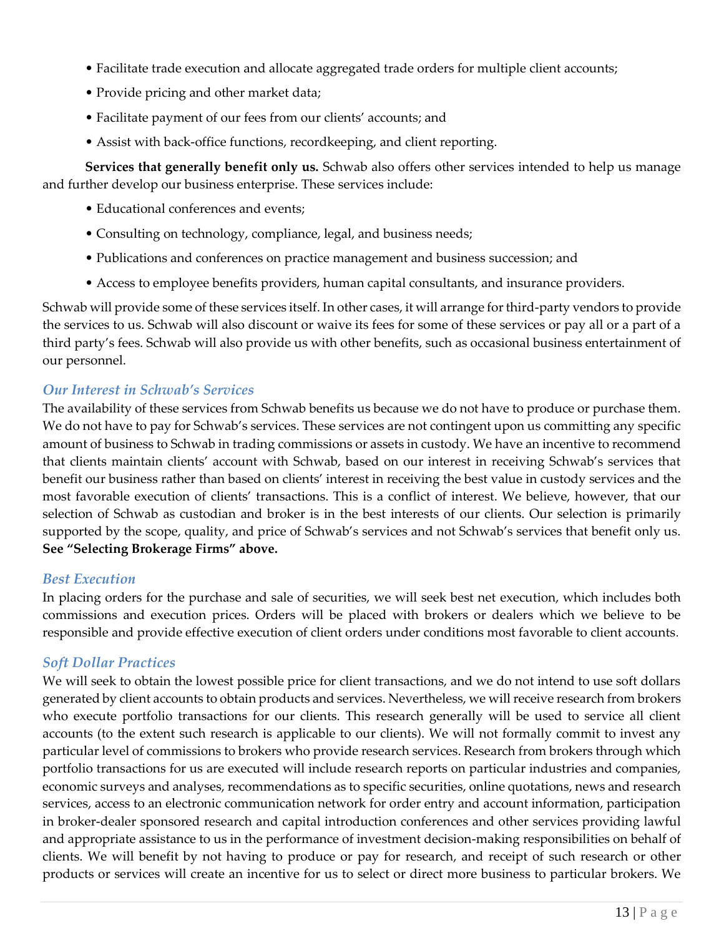- Facilitate trade execution and allocate aggregated trade orders for multiple client accounts;
- Provide pricing and other market data;
- Facilitate payment of our fees from our clients' accounts; and
- Assist with back-office functions, recordkeeping, and client reporting.

**Services that generally benefit only us.** Schwab also offers other services intended to help us manage and further develop our business enterprise. These services include:

- Educational conferences and events;
- Consulting on technology, compliance, legal, and business needs;
- Publications and conferences on practice management and business succession; and
- Access to employee benefits providers, human capital consultants, and insurance providers.

Schwab will provide some of these services itself. In other cases, it will arrange for third-party vendors to provide the services to us. Schwab will also discount or waive its fees for some of these services or pay all or a part of a third party's fees. Schwab will also provide us with other benefits, such as occasional business entertainment of our personnel.

#### *Our Interest in Schwab's Services*

The availability of these services from Schwab benefits us because we do not have to produce or purchase them. We do not have to pay for Schwab's services. These services are not contingent upon us committing any specific amount of business to Schwab in trading commissions or assets in custody. We have an incentive to recommend that clients maintain clients' account with Schwab, based on our interest in receiving Schwab's services that benefit our business rather than based on clients' interest in receiving the best value in custody services and the most favorable execution of clients' transactions. This is a conflict of interest. We believe, however, that our selection of Schwab as custodian and broker is in the best interests of our clients. Our selection is primarily supported by the scope, quality, and price of Schwab's services and not Schwab's services that benefit only us. **See "Selecting Brokerage Firms" above.**

#### *Best Execution*

In placing orders for the purchase and sale of securities, we will seek best net execution, which includes both commissions and execution prices. Orders will be placed with brokers or dealers which we believe to be responsible and provide effective execution of client orders under conditions most favorable to client accounts.

#### *Soft Dollar Practices*

We will seek to obtain the lowest possible price for client transactions, and we do not intend to use soft dollars generated by client accounts to obtain products and services. Nevertheless, we will receive research from brokers who execute portfolio transactions for our clients. This research generally will be used to service all client accounts (to the extent such research is applicable to our clients). We will not formally commit to invest any particular level of commissions to brokers who provide research services. Research from brokers through which portfolio transactions for us are executed will include research reports on particular industries and companies, economic surveys and analyses, recommendations as to specific securities, online quotations, news and research services, access to an electronic communication network for order entry and account information, participation in broker-dealer sponsored research and capital introduction conferences and other services providing lawful and appropriate assistance to us in the performance of investment decision-making responsibilities on behalf of clients. We will benefit by not having to produce or pay for research, and receipt of such research or other products or services will create an incentive for us to select or direct more business to particular brokers. We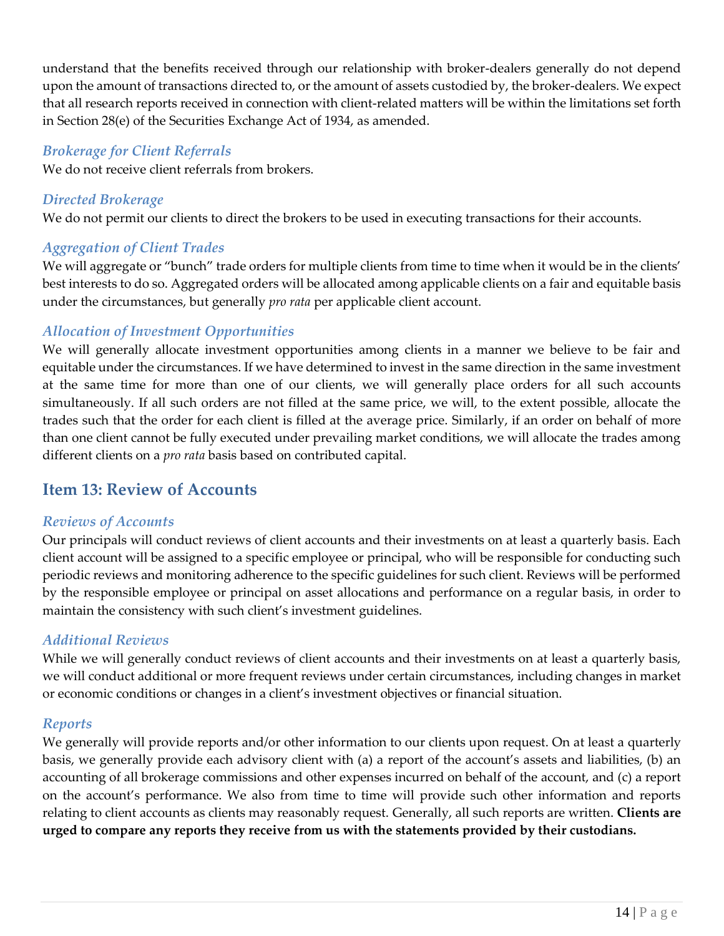understand that the benefits received through our relationship with broker-dealers generally do not depend upon the amount of transactions directed to, or the amount of assets custodied by, the broker-dealers. We expect that all research reports received in connection with client-related matters will be within the limitations set forth in Section 28(e) of the Securities Exchange Act of 1934, as amended.

## *Brokerage for Client Referrals*

We do not receive client referrals from brokers.

## *Directed Brokerage*

We do not permit our clients to direct the brokers to be used in executing transactions for their accounts.

## *Aggregation of Client Trades*

We will aggregate or "bunch" trade orders for multiple clients from time to time when it would be in the clients' best interests to do so. Aggregated orders will be allocated among applicable clients on a fair and equitable basis under the circumstances, but generally *pro rata* per applicable client account.

## *Allocation of Investment Opportunities*

We will generally allocate investment opportunities among clients in a manner we believe to be fair and equitable under the circumstances. If we have determined to invest in the same direction in the same investment at the same time for more than one of our clients, we will generally place orders for all such accounts simultaneously. If all such orders are not filled at the same price, we will, to the extent possible, allocate the trades such that the order for each client is filled at the average price. Similarly, if an order on behalf of more than one client cannot be fully executed under prevailing market conditions, we will allocate the trades among different clients on a *pro rata* basis based on contributed capital.

# <span id="page-13-0"></span>**Item 13: Review of Accounts**

## *Reviews of Accounts*

Our principals will conduct reviews of client accounts and their investments on at least a quarterly basis. Each client account will be assigned to a specific employee or principal, who will be responsible for conducting such periodic reviews and monitoring adherence to the specific guidelines for such client. Reviews will be performed by the responsible employee or principal on asset allocations and performance on a regular basis, in order to maintain the consistency with such client's investment guidelines.

## *Additional Reviews*

While we will generally conduct reviews of client accounts and their investments on at least a quarterly basis, we will conduct additional or more frequent reviews under certain circumstances, including changes in market or economic conditions or changes in a client's investment objectives or financial situation.

## *Reports*

We generally will provide reports and/or other information to our clients upon request. On at least a quarterly basis, we generally provide each advisory client with (a) a report of the account's assets and liabilities, (b) an accounting of all brokerage commissions and other expenses incurred on behalf of the account, and (c) a report on the account's performance. We also from time to time will provide such other information and reports relating to client accounts as clients may reasonably request. Generally, all such reports are written. **Clients are urged to compare any reports they receive from us with the statements provided by their custodians.**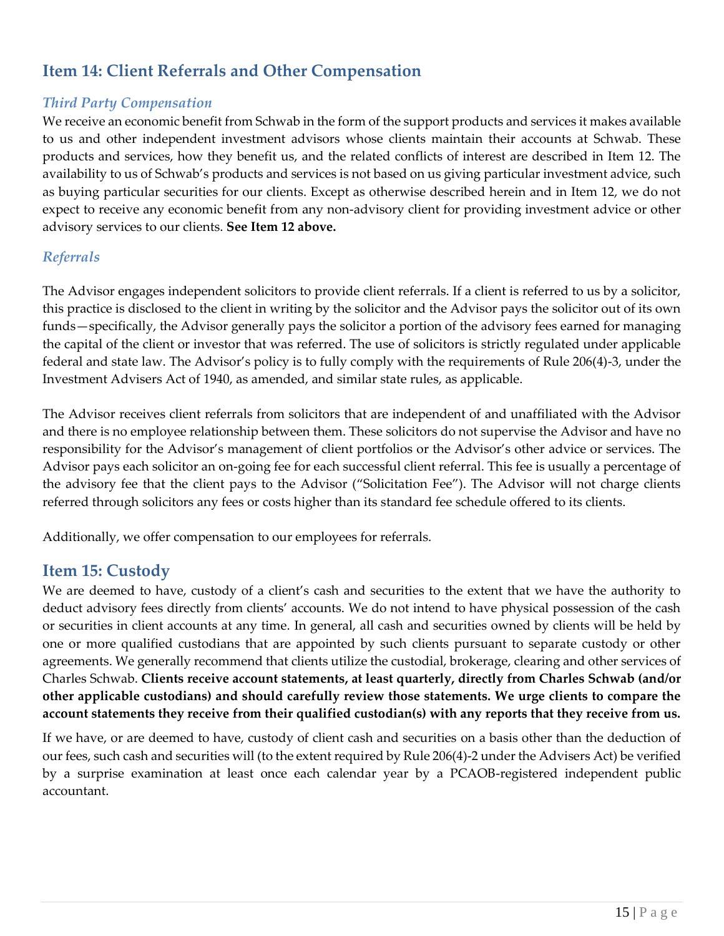# <span id="page-14-0"></span>**Item 14: Client Referrals and Other Compensation**

#### *Third Party Compensation*

We receive an economic benefit from Schwab in the form of the support products and services it makes available to us and other independent investment advisors whose clients maintain their accounts at Schwab. These products and services, how they benefit us, and the related conflicts of interest are described in Item 12. The availability to us of Schwab's products and services is not based on us giving particular investment advice, such as buying particular securities for our clients. Except as otherwise described herein and in Item 12, we do not expect to receive any economic benefit from any non-advisory client for providing investment advice or other advisory services to our clients. **See Item 12 above.**

#### *Referrals*

The Advisor engages independent solicitors to provide client referrals. If a client is referred to us by a solicitor, this practice is disclosed to the client in writing by the solicitor and the Advisor pays the solicitor out of its own funds—specifically, the Advisor generally pays the solicitor a portion of the advisory fees earned for managing the capital of the client or investor that was referred. The use of solicitors is strictly regulated under applicable federal and state law. The Advisor's policy is to fully comply with the requirements of Rule 206(4)-3, under the Investment Advisers Act of 1940, as amended, and similar state rules, as applicable.

The Advisor receives client referrals from solicitors that are independent of and unaffiliated with the Advisor and there is no employee relationship between them. These solicitors do not supervise the Advisor and have no responsibility for the Advisor's management of client portfolios or the Advisor's other advice or services. The Advisor pays each solicitor an on-going fee for each successful client referral. This fee is usually a percentage of the advisory fee that the client pays to the Advisor ("Solicitation Fee"). The Advisor will not charge clients referred through solicitors any fees or costs higher than its standard fee schedule offered to its clients.

Additionally, we offer compensation to our employees for referrals.

## <span id="page-14-1"></span>**Item 15: Custody**

We are deemed to have, custody of a client's cash and securities to the extent that we have the authority to deduct advisory fees directly from clients' accounts. We do not intend to have physical possession of the cash or securities in client accounts at any time. In general, all cash and securities owned by clients will be held by one or more qualified custodians that are appointed by such clients pursuant to separate custody or other agreements. We generally recommend that clients utilize the custodial, brokerage, clearing and other services of Charles Schwab. **Clients receive account statements, at least quarterly, directly from Charles Schwab (and/or other applicable custodians) and should carefully review those statements. We urge clients to compare the account statements they receive from their qualified custodian(s) with any reports that they receive from us.**

If we have, or are deemed to have, custody of client cash and securities on a basis other than the deduction of our fees, such cash and securities will (to the extent required by Rule 206(4)-2 under the Advisers Act) be verified by a surprise examination at least once each calendar year by a PCAOB-registered independent public accountant.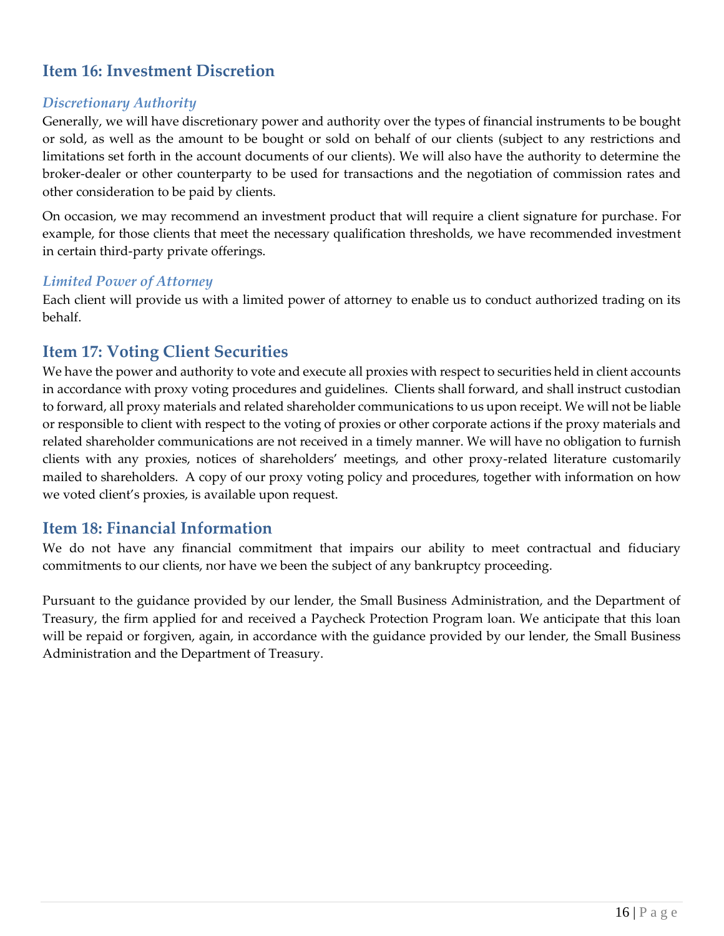# <span id="page-15-0"></span>**Item 16: Investment Discretion**

#### *Discretionary Authority*

Generally, we will have discretionary power and authority over the types of financial instruments to be bought or sold, as well as the amount to be bought or sold on behalf of our clients (subject to any restrictions and limitations set forth in the account documents of our clients). We will also have the authority to determine the broker-dealer or other counterparty to be used for transactions and the negotiation of commission rates and other consideration to be paid by clients.

On occasion, we may recommend an investment product that will require a client signature for purchase. For example, for those clients that meet the necessary qualification thresholds, we have recommended investment in certain third-party private offerings.

#### *Limited Power of Attorney*

Each client will provide us with a limited power of attorney to enable us to conduct authorized trading on its behalf.

## <span id="page-15-1"></span>**Item 17: Voting Client Securities**

We have the power and authority to vote and execute all proxies with respect to securities held in client accounts in accordance with proxy voting procedures and guidelines. Clients shall forward, and shall instruct custodian to forward, all proxy materials and related shareholder communications to us upon receipt. We will not be liable or responsible to client with respect to the voting of proxies or other corporate actions if the proxy materials and related shareholder communications are not received in a timely manner. We will have no obligation to furnish clients with any proxies, notices of shareholders' meetings, and other proxy-related literature customarily mailed to shareholders. A copy of our proxy voting policy and procedures, together with information on how we voted client's proxies, is available upon request.

## <span id="page-15-2"></span>**Item 18: Financial Information**

We do not have any financial commitment that impairs our ability to meet contractual and fiduciary commitments to our clients, nor have we been the subject of any bankruptcy proceeding.

Pursuant to the guidance provided by our lender, the Small Business Administration, and the Department of Treasury, the firm applied for and received a Paycheck Protection Program loan. We anticipate that this loan will be repaid or forgiven, again, in accordance with the guidance provided by our lender, the Small Business Administration and the Department of Treasury.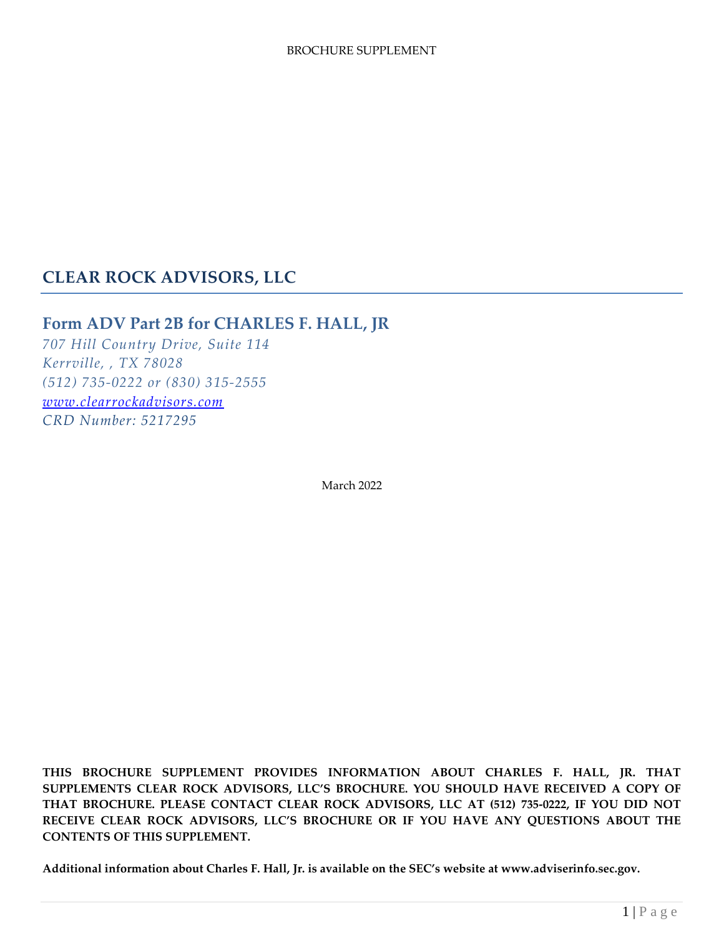# **CLEAR ROCK ADVISORS, LLC**

## **Form ADV Part 2B for CHARLES F. HALL, JR**

*707 Hill Country Drive, Suite 114 Kerrville, , TX 78028 (512) 735-0222 or (830) 315-2555 [www.clearrockadvisors.com](http://www.clearrockadvisors.com/) CRD Number: 5217295*

March 2022

**THIS BROCHURE SUPPLEMENT PROVIDES INFORMATION ABOUT CHARLES F. HALL, JR. THAT SUPPLEMENTS CLEAR ROCK ADVISORS, LLC'S BROCHURE. YOU SHOULD HAVE RECEIVED A COPY OF THAT BROCHURE. PLEASE CONTACT CLEAR ROCK ADVISORS, LLC AT (512) 735-0222, IF YOU DID NOT RECEIVE CLEAR ROCK ADVISORS, LLC'S BROCHURE OR IF YOU HAVE ANY QUESTIONS ABOUT THE CONTENTS OF THIS SUPPLEMENT.**

**Additional information about Charles F. Hall, Jr. is available on the SEC's website at www.adviserinfo.sec.gov.**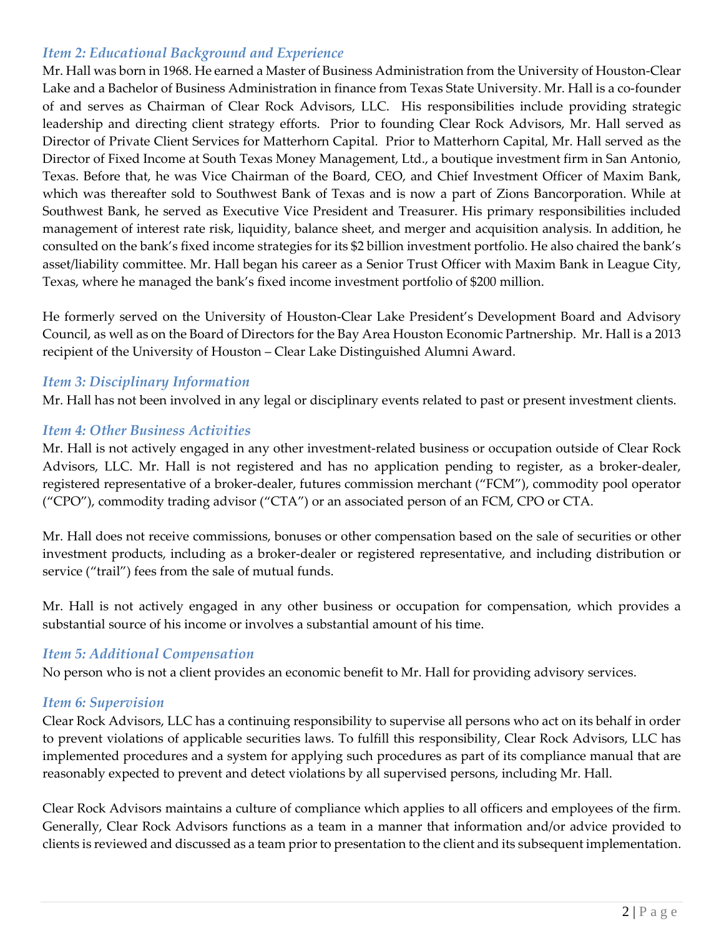## *Item 2: Educational Background and Experience*

Mr. Hall was born in 1968. He earned a Master of Business Administration from the University of Houston-Clear Lake and a Bachelor of Business Administration in finance from Texas State University. Mr. Hall is a co-founder of and serves as Chairman of Clear Rock Advisors, LLC. His responsibilities include providing strategic leadership and directing client strategy efforts. Prior to founding Clear Rock Advisors, Mr. Hall served as Director of Private Client Services for Matterhorn Capital. Prior to Matterhorn Capital, Mr. Hall served as the Director of Fixed Income at South Texas Money Management, Ltd., a boutique investment firm in San Antonio, Texas. Before that, he was Vice Chairman of the Board, CEO, and Chief Investment Officer of Maxim Bank, which was thereafter sold to Southwest Bank of Texas and is now a part of Zions Bancorporation. While at Southwest Bank, he served as Executive Vice President and Treasurer. His primary responsibilities included management of interest rate risk, liquidity, balance sheet, and merger and acquisition analysis. In addition, he consulted on the bank's fixed income strategies for its \$2 billion investment portfolio. He also chaired the bank's asset/liability committee. Mr. Hall began his career as a Senior Trust Officer with Maxim Bank in League City, Texas, where he managed the bank's fixed income investment portfolio of \$200 million.

He formerly served on the University of Houston-Clear Lake President's Development Board and Advisory Council, as well as on the Board of Directors for the Bay Area Houston Economic Partnership. Mr. Hall is a 2013 recipient of the University of Houston – Clear Lake Distinguished Alumni Award.

#### *Item 3: Disciplinary Information*

Mr. Hall has not been involved in any legal or disciplinary events related to past or present investment clients.

#### *Item 4: Other Business Activities*

Mr. Hall is not actively engaged in any other investment-related business or occupation outside of Clear Rock Advisors, LLC. Mr. Hall is not registered and has no application pending to register, as a broker-dealer, registered representative of a broker-dealer, futures commission merchant ("FCM"), commodity pool operator ("CPO"), commodity trading advisor ("CTA") or an associated person of an FCM, CPO or CTA.

Mr. Hall does not receive commissions, bonuses or other compensation based on the sale of securities or other investment products, including as a broker-dealer or registered representative, and including distribution or service ("trail") fees from the sale of mutual funds.

Mr. Hall is not actively engaged in any other business or occupation for compensation, which provides a substantial source of his income or involves a substantial amount of his time.

#### *Item 5: Additional Compensation*

No person who is not a client provides an economic benefit to Mr. Hall for providing advisory services.

#### *Item 6: Supervision*

Clear Rock Advisors, LLC has a continuing responsibility to supervise all persons who act on its behalf in order to prevent violations of applicable securities laws. To fulfill this responsibility, Clear Rock Advisors, LLC has implemented procedures and a system for applying such procedures as part of its compliance manual that are reasonably expected to prevent and detect violations by all supervised persons, including Mr. Hall.

Clear Rock Advisors maintains a culture of compliance which applies to all officers and employees of the firm. Generally, Clear Rock Advisors functions as a team in a manner that information and/or advice provided to clients is reviewed and discussed as a team prior to presentation to the client and its subsequent implementation.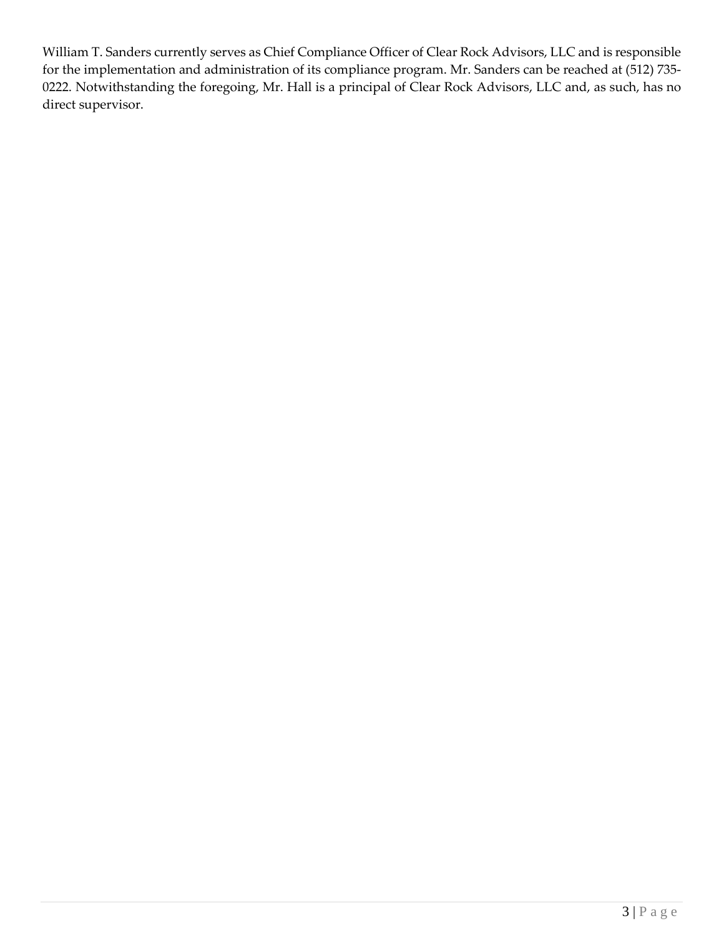William T. Sanders currently serves as Chief Compliance Officer of Clear Rock Advisors, LLC and is responsible for the implementation and administration of its compliance program. Mr. Sanders can be reached at (512) 735- 0222. Notwithstanding the foregoing, Mr. Hall is a principal of Clear Rock Advisors, LLC and, as such, has no direct supervisor.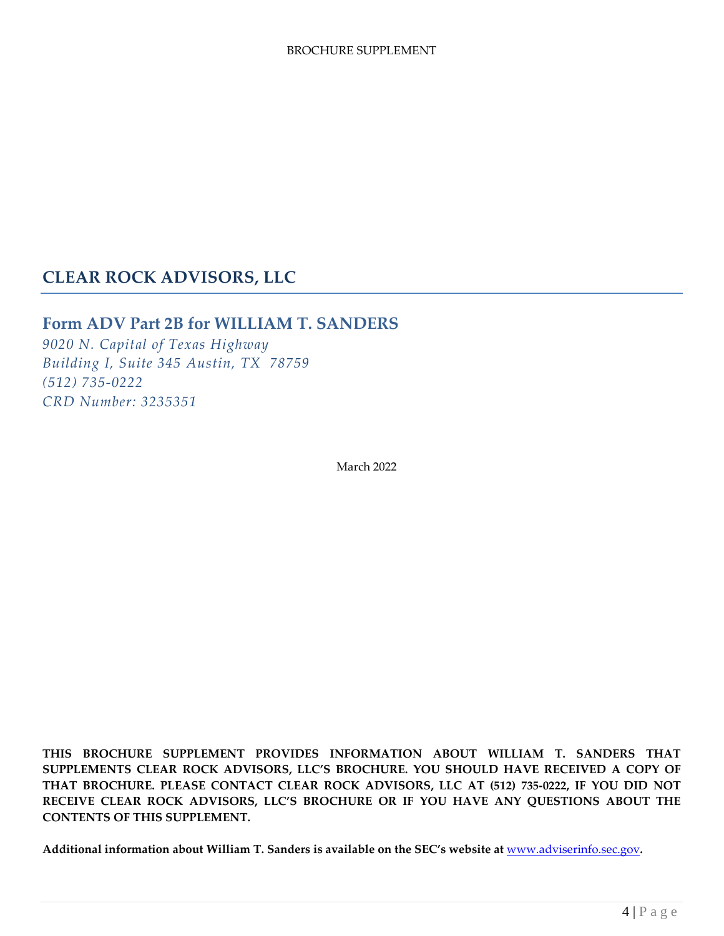# **CLEAR ROCK ADVISORS, LLC**

## **Form ADV Part 2B for WILLIAM T. SANDERS**

*9020 N. Capital of Texas Highway Building I, Suite 345 Austin, TX 78759 (512) 735-0222 CRD Number: 3235351*

March 2022

**THIS BROCHURE SUPPLEMENT PROVIDES INFORMATION ABOUT WILLIAM T. SANDERS THAT SUPPLEMENTS CLEAR ROCK ADVISORS, LLC'S BROCHURE. YOU SHOULD HAVE RECEIVED A COPY OF THAT BROCHURE. PLEASE CONTACT CLEAR ROCK ADVISORS, LLC AT (512) 735-0222, IF YOU DID NOT RECEIVE CLEAR ROCK ADVISORS, LLC'S BROCHURE OR IF YOU HAVE ANY QUESTIONS ABOUT THE CONTENTS OF THIS SUPPLEMENT.**

**Additional information about William T. Sanders is available on the SEC's website at** [www.adviserinfo.sec.gov](http://www.adviserinfo.sec.gov/)**.**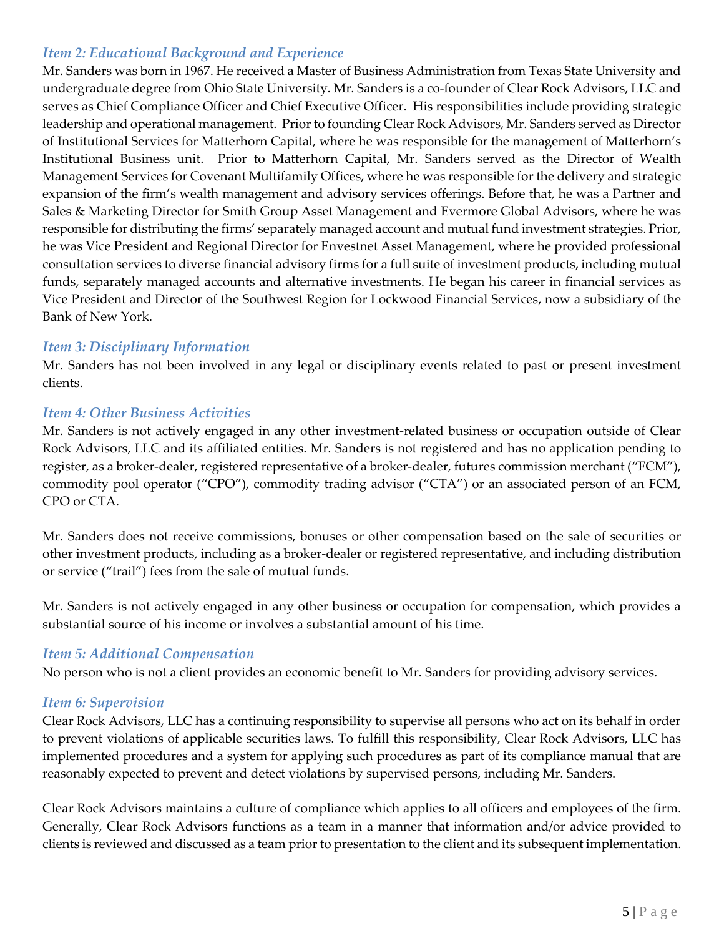## *Item 2: Educational Background and Experience*

Mr. Sanders was born in 1967. He received a Master of Business Administration from Texas State University and undergraduate degree from Ohio State University. Mr. Sanders is a co-founder of Clear Rock Advisors, LLC and serves as Chief Compliance Officer and Chief Executive Officer. His responsibilities include providing strategic leadership and operational management. Prior to founding Clear Rock Advisors, Mr. Sanders served as Director of Institutional Services for Matterhorn Capital, where he was responsible for the management of Matterhorn's Institutional Business unit. Prior to Matterhorn Capital, Mr. Sanders served as the Director of Wealth Management Services for Covenant Multifamily Offices, where he was responsible for the delivery and strategic expansion of the firm's wealth management and advisory services offerings. Before that, he was a Partner and Sales & Marketing Director for Smith Group Asset Management and Evermore Global Advisors, where he was responsible for distributing the firms' separately managed account and mutual fund investment strategies. Prior, he was Vice President and Regional Director for Envestnet Asset Management, where he provided professional consultation services to diverse financial advisory firms for a full suite of investment products, including mutual funds, separately managed accounts and alternative investments. He began his career in financial services as Vice President and Director of the Southwest Region for Lockwood Financial Services, now a subsidiary of the Bank of New York.

#### *Item 3: Disciplinary Information*

Mr. Sanders has not been involved in any legal or disciplinary events related to past or present investment clients.

#### *Item 4: Other Business Activities*

Mr. Sanders is not actively engaged in any other investment-related business or occupation outside of Clear Rock Advisors, LLC and its affiliated entities. Mr. Sanders is not registered and has no application pending to register, as a broker-dealer, registered representative of a broker-dealer, futures commission merchant ("FCM"), commodity pool operator ("CPO"), commodity trading advisor ("CTA") or an associated person of an FCM, CPO or CTA.

Mr. Sanders does not receive commissions, bonuses or other compensation based on the sale of securities or other investment products, including as a broker-dealer or registered representative, and including distribution or service ("trail") fees from the sale of mutual funds.

Mr. Sanders is not actively engaged in any other business or occupation for compensation, which provides a substantial source of his income or involves a substantial amount of his time.

## *Item 5: Additional Compensation*

No person who is not a client provides an economic benefit to Mr. Sanders for providing advisory services.

#### *Item 6: Supervision*

Clear Rock Advisors, LLC has a continuing responsibility to supervise all persons who act on its behalf in order to prevent violations of applicable securities laws. To fulfill this responsibility, Clear Rock Advisors, LLC has implemented procedures and a system for applying such procedures as part of its compliance manual that are reasonably expected to prevent and detect violations by supervised persons, including Mr. Sanders.

Clear Rock Advisors maintains a culture of compliance which applies to all officers and employees of the firm. Generally, Clear Rock Advisors functions as a team in a manner that information and/or advice provided to clients is reviewed and discussed as a team prior to presentation to the client and its subsequent implementation.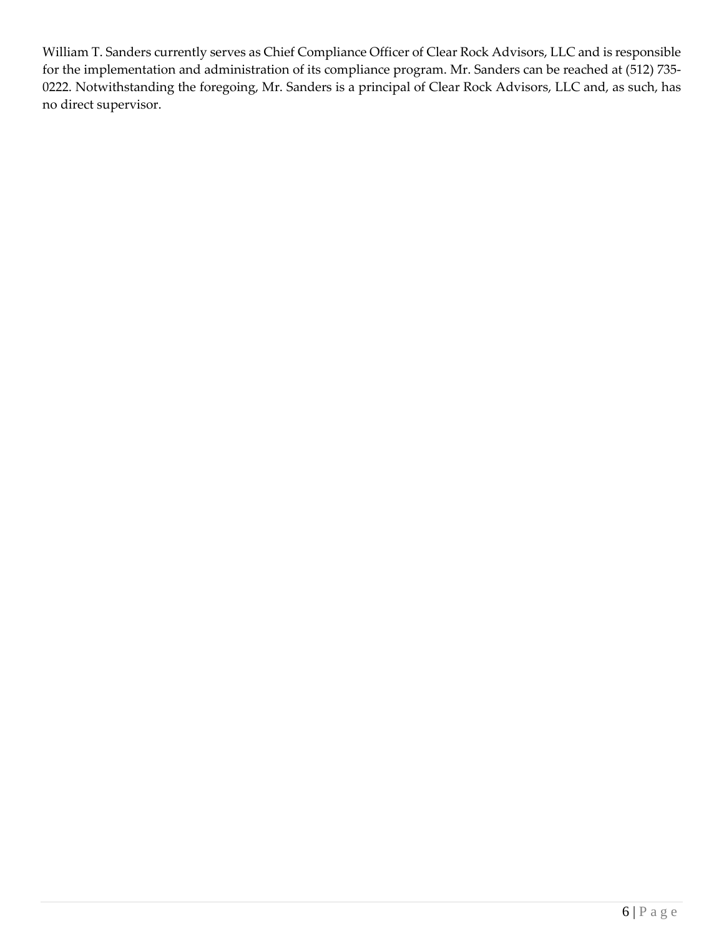William T. Sanders currently serves as Chief Compliance Officer of Clear Rock Advisors, LLC and is responsible for the implementation and administration of its compliance program. Mr. Sanders can be reached at (512) 735- 0222. Notwithstanding the foregoing, Mr. Sanders is a principal of Clear Rock Advisors, LLC and, as such, has no direct supervisor.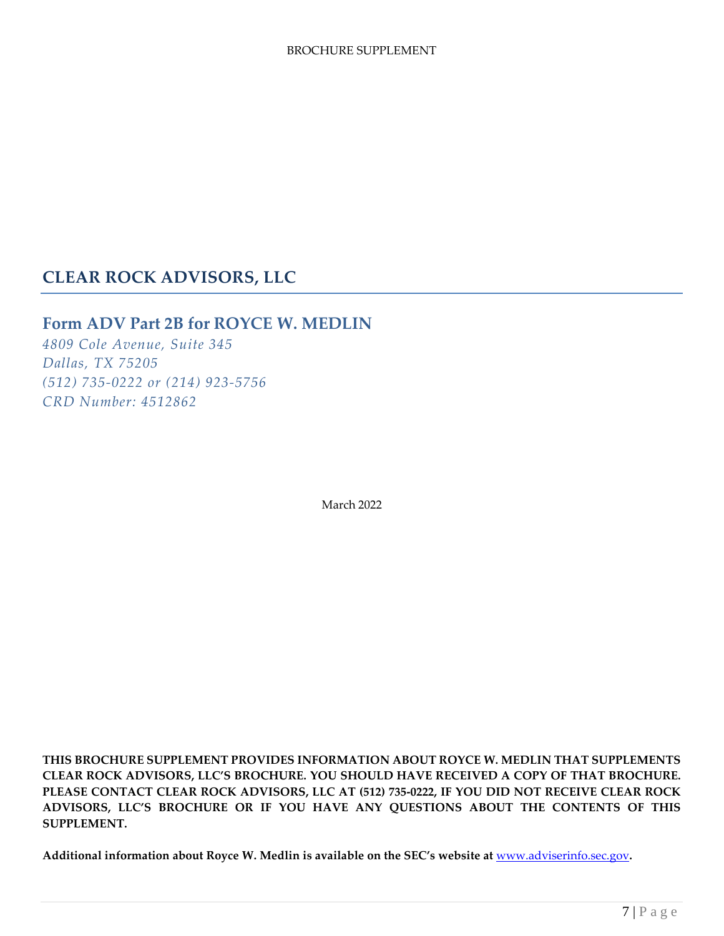# **CLEAR ROCK ADVISORS, LLC**

## **Form ADV Part 2B for ROYCE W. MEDLIN**

*4809 Cole Avenue, Suite 345 Dallas, TX 75205 (512) 735-0222 or (214) 923-5756 CRD Number: 4512862*

March 2022

**THIS BROCHURE SUPPLEMENT PROVIDES INFORMATION ABOUT ROYCE W. MEDLIN THAT SUPPLEMENTS CLEAR ROCK ADVISORS, LLC'S BROCHURE. YOU SHOULD HAVE RECEIVED A COPY OF THAT BROCHURE. PLEASE CONTACT CLEAR ROCK ADVISORS, LLC AT (512) 735-0222, IF YOU DID NOT RECEIVE CLEAR ROCK ADVISORS, LLC'S BROCHURE OR IF YOU HAVE ANY QUESTIONS ABOUT THE CONTENTS OF THIS SUPPLEMENT.**

**Additional information about Royce W. Medlin is available on the SEC's website at** [www.adviserinfo.sec.gov](http://www.adviserinfo.sec.gov/)**.**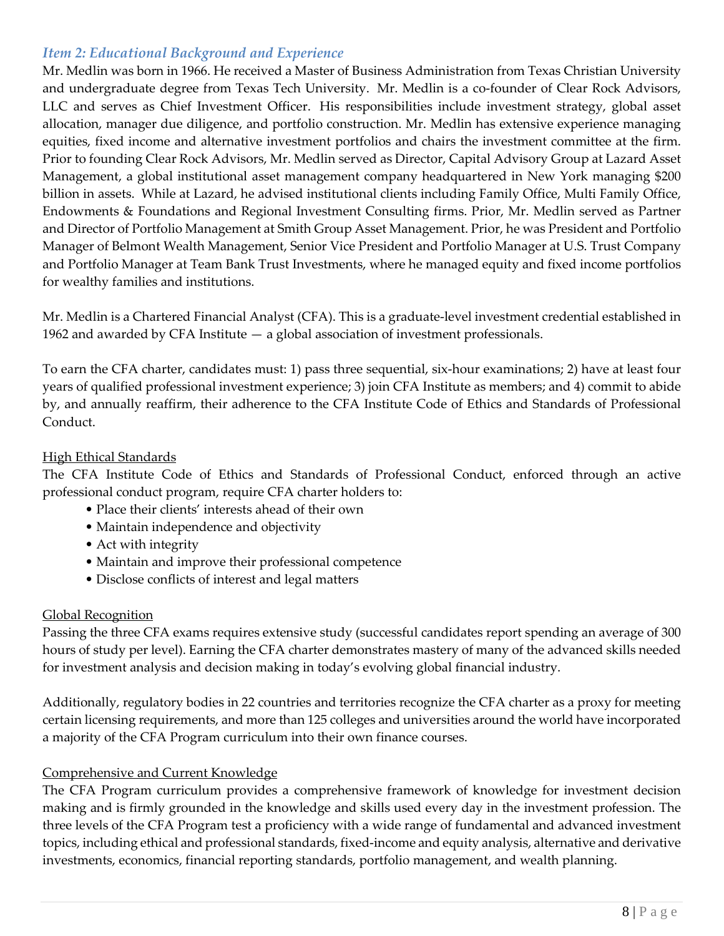### *Item 2: Educational Background and Experience*

Mr. Medlin was born in 1966. He received a Master of Business Administration from Texas Christian University and undergraduate degree from Texas Tech University. Mr. Medlin is a co-founder of Clear Rock Advisors, LLC and serves as Chief Investment Officer. His responsibilities include investment strategy, global asset allocation, manager due diligence, and portfolio construction. Mr. Medlin has extensive experience managing equities, fixed income and alternative investment portfolios and chairs the investment committee at the firm. Prior to founding Clear Rock Advisors, Mr. Medlin served as Director, Capital Advisory Group at Lazard Asset Management, a global institutional asset management company headquartered in New York managing \$200 billion in assets. While at Lazard, he advised institutional clients including Family Office, Multi Family Office, Endowments & Foundations and Regional Investment Consulting firms. Prior, Mr. Medlin served as Partner and Director of Portfolio Management at Smith Group Asset Management. Prior, he was President and Portfolio Manager of Belmont Wealth Management, Senior Vice President and Portfolio Manager at U.S. Trust Company and Portfolio Manager at Team Bank Trust Investments, where he managed equity and fixed income portfolios for wealthy families and institutions.

Mr. Medlin is a Chartered Financial Analyst (CFA). This is a graduate-level investment credential established in 1962 and awarded by CFA Institute — a global association of investment professionals.

To earn the CFA charter, candidates must: 1) pass three sequential, six-hour examinations; 2) have at least four years of qualified professional investment experience; 3) join CFA Institute as members; and 4) commit to abide by, and annually reaffirm, their adherence to the CFA Institute Code of Ethics and Standards of Professional Conduct.

#### High Ethical Standards

The CFA Institute Code of Ethics and Standards of Professional Conduct, enforced through an active professional conduct program, require CFA charter holders to:

- Place their clients' interests ahead of their own
- Maintain independence and objectivity
- Act with integrity
- Maintain and improve their professional competence
- Disclose conflicts of interest and legal matters

#### Global Recognition

Passing the three CFA exams requires extensive study (successful candidates report spending an average of 300 hours of study per level). Earning the CFA charter demonstrates mastery of many of the advanced skills needed for investment analysis and decision making in today's evolving global financial industry.

Additionally, regulatory bodies in 22 countries and territories recognize the CFA charter as a proxy for meeting certain licensing requirements, and more than 125 colleges and universities around the world have incorporated a majority of the CFA Program curriculum into their own finance courses.

#### Comprehensive and Current Knowledge

The CFA Program curriculum provides a comprehensive framework of knowledge for investment decision making and is firmly grounded in the knowledge and skills used every day in the investment profession. The three levels of the CFA Program test a proficiency with a wide range of fundamental and advanced investment topics, including ethical and professional standards, fixed-income and equity analysis, alternative and derivative investments, economics, financial reporting standards, portfolio management, and wealth planning.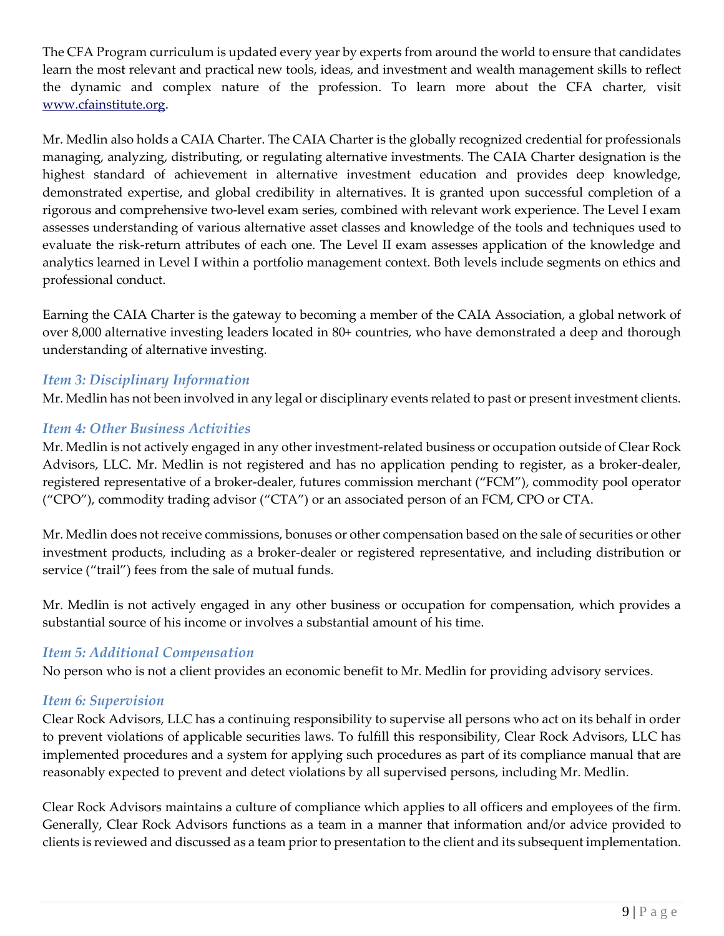The CFA Program curriculum is updated every year by experts from around the world to ensure that candidates learn the most relevant and practical new tools, ideas, and investment and wealth management skills to reflect the dynamic and complex nature of the profession. To learn more about the CFA charter, visit [www.cfainstitute.org.](http://www.cfainstitute.org/)

Mr. Medlin also holds a CAIA Charter. The CAIA Charter is the globally recognized credential for professionals managing, analyzing, distributing, or regulating alternative investments. The CAIA Charter designation is the highest standard of achievement in alternative investment education and provides deep knowledge, demonstrated expertise, and global credibility in alternatives. It is granted upon successful completion of a rigorous and comprehensive two-level exam series, combined with relevant work experience. The Level I exam assesses understanding of various alternative asset classes and knowledge of the tools and techniques used to evaluate the risk-return attributes of each one. The Level II exam assesses application of the knowledge and analytics learned in Level I within a portfolio management context. Both levels include segments on ethics and professional conduct.

Earning the CAIA Charter is the gateway to becoming a member of the CAIA Association, a global network of over 8,000 alternative investing leaders located in 80+ countries, who have demonstrated a deep and thorough understanding of alternative investing.

#### *Item 3: Disciplinary Information*

Mr. Medlin has not been involved in any legal or disciplinary events related to past or present investment clients.

#### *Item 4: Other Business Activities*

Mr. Medlin is not actively engaged in any other investment-related business or occupation outside of Clear Rock Advisors, LLC. Mr. Medlin is not registered and has no application pending to register, as a broker-dealer, registered representative of a broker-dealer, futures commission merchant ("FCM"), commodity pool operator ("CPO"), commodity trading advisor ("CTA") or an associated person of an FCM, CPO or CTA.

Mr. Medlin does not receive commissions, bonuses or other compensation based on the sale of securities or other investment products, including as a broker-dealer or registered representative, and including distribution or service ("trail") fees from the sale of mutual funds.

Mr. Medlin is not actively engaged in any other business or occupation for compensation, which provides a substantial source of his income or involves a substantial amount of his time.

#### *Item 5: Additional Compensation*

No person who is not a client provides an economic benefit to Mr. Medlin for providing advisory services.

#### *Item 6: Supervision*

Clear Rock Advisors, LLC has a continuing responsibility to supervise all persons who act on its behalf in order to prevent violations of applicable securities laws. To fulfill this responsibility, Clear Rock Advisors, LLC has implemented procedures and a system for applying such procedures as part of its compliance manual that are reasonably expected to prevent and detect violations by all supervised persons, including Mr. Medlin.

Clear Rock Advisors maintains a culture of compliance which applies to all officers and employees of the firm. Generally, Clear Rock Advisors functions as a team in a manner that information and/or advice provided to clients is reviewed and discussed as a team prior to presentation to the client and its subsequent implementation.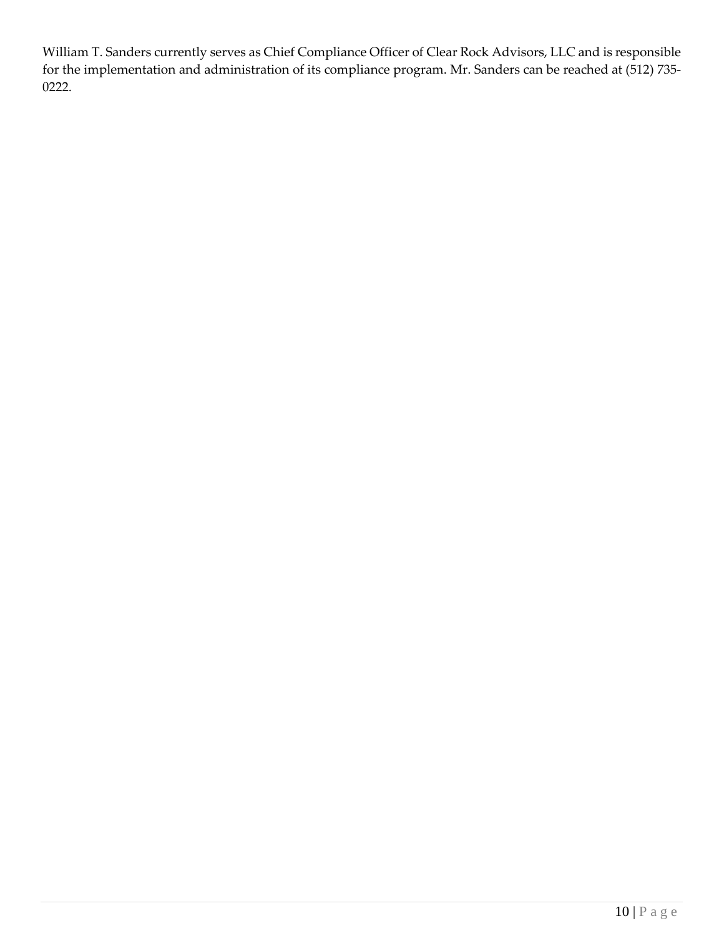William T. Sanders currently serves as Chief Compliance Officer of Clear Rock Advisors, LLC and is responsible for the implementation and administration of its compliance program. Mr. Sanders can be reached at (512) 735- 0222.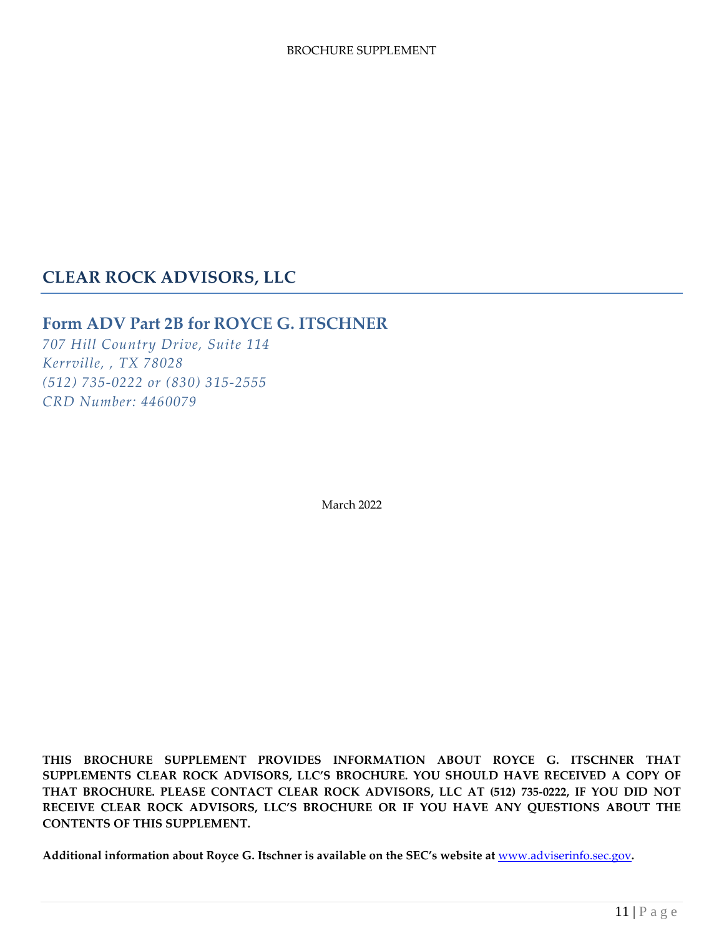# **CLEAR ROCK ADVISORS, LLC**

## **Form ADV Part 2B for ROYCE G. ITSCHNER**

*707 Hill Country Drive, Suite 114 Kerrville, , TX 78028 (512) 735-0222 or (830) 315-2555 CRD Number: 4460079*

March 2022

**THIS BROCHURE SUPPLEMENT PROVIDES INFORMATION ABOUT ROYCE G. ITSCHNER THAT SUPPLEMENTS CLEAR ROCK ADVISORS, LLC'S BROCHURE. YOU SHOULD HAVE RECEIVED A COPY OF THAT BROCHURE. PLEASE CONTACT CLEAR ROCK ADVISORS, LLC AT (512) 735-0222, IF YOU DID NOT RECEIVE CLEAR ROCK ADVISORS, LLC'S BROCHURE OR IF YOU HAVE ANY QUESTIONS ABOUT THE CONTENTS OF THIS SUPPLEMENT.**

**Additional information about Royce G. Itschner is available on the SEC's website at** [www.adviserinfo.sec.gov](http://www.adviserinfo.sec.gov/)**.**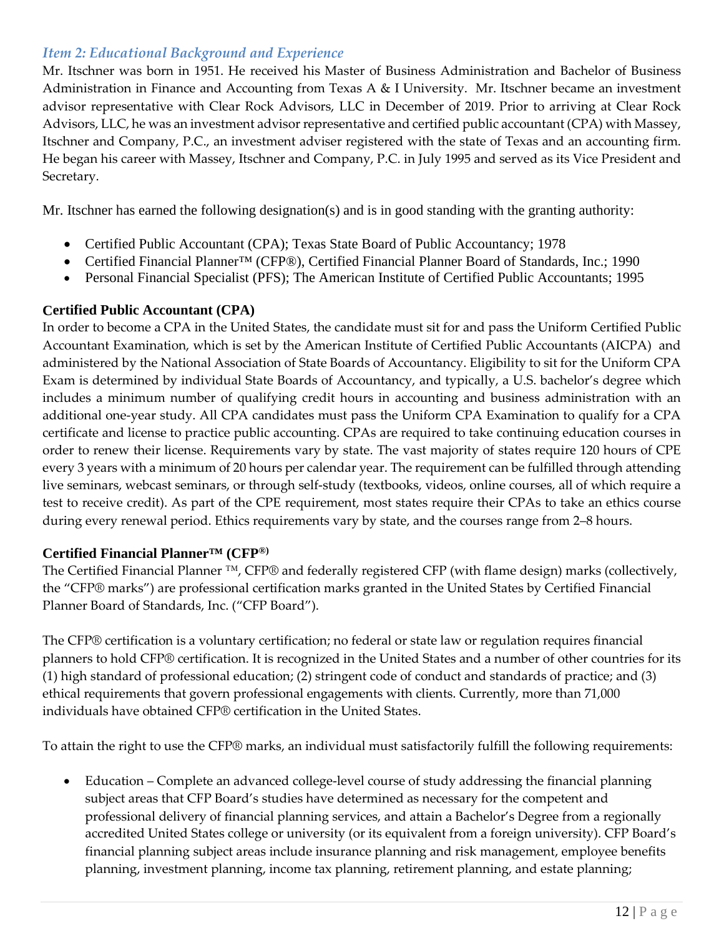## *Item 2: Educational Background and Experience*

Mr. Itschner was born in 1951. He received his Master of Business Administration and Bachelor of Business Administration in Finance and Accounting from Texas A & I University. Mr. Itschner became an investment advisor representative with Clear Rock Advisors, LLC in December of 2019. Prior to arriving at Clear Rock Advisors, LLC, he was an investment advisor representative and certified public accountant (CPA) with Massey, Itschner and Company, P.C., an investment adviser registered with the state of Texas and an accounting firm. He began his career with Massey, Itschner and Company, P.C. in July 1995 and served as its Vice President and Secretary.

Mr. Itschner has earned the following designation(s) and is in good standing with the granting authority:

- Certified Public Accountant (CPA); Texas State Board of Public Accountancy; 1978
- Certified Financial Planner™ (CFP®), Certified Financial Planner Board of Standards, Inc.; 1990
- Personal Financial Specialist (PFS); The American Institute of Certified Public Accountants; 1995

#### **Certified Public Accountant (CPA)**

In order to become a CPA in the United States, the candidate must sit for and pass the Uniform Certified Public Accountant Examination, which is set by the American Institute of Certified Public Accountants (AICPA) and administered by the National Association of State Boards of Accountancy. Eligibility to sit for the Uniform CPA Exam is determined by individual State Boards of Accountancy, and typically, a U.S. bachelor's degree which includes a minimum number of qualifying credit hours in accounting and business administration with an additional one-year study. All CPA candidates must pass the Uniform CPA Examination to qualify for a CPA certificate and license to practice public accounting. CPAs are required to take continuing education courses in order to renew their license. Requirements vary by state. The vast majority of states require 120 hours of CPE every 3 years with a minimum of 20 hours per calendar year. The requirement can be fulfilled through attending live seminars, webcast seminars, or through self-study (textbooks, videos, online courses, all of which require a test to receive credit). As part of the CPE requirement, most states require their CPAs to take an ethics course during every renewal period. Ethics requirements vary by state, and the courses range from 2–8 hours.

#### **Certified Financial Planner™ (CFP®)**

The Certified Financial Planner ™, CFP® and federally registered CFP (with flame design) marks (collectively, the "CFP® marks") are professional certification marks granted in the United States by Certified Financial Planner Board of Standards, Inc. ("CFP Board").

The CFP® certification is a voluntary certification; no federal or state law or regulation requires financial planners to hold CFP® certification. It is recognized in the United States and a number of other countries for its (1) high standard of professional education; (2) stringent code of conduct and standards of practice; and (3) ethical requirements that govern professional engagements with clients. Currently, more than 71,000 individuals have obtained CFP® certification in the United States.

To attain the right to use the CFP® marks, an individual must satisfactorily fulfill the following requirements:

• Education – Complete an advanced college-level course of study addressing the financial planning subject areas that CFP Board's studies have determined as necessary for the competent and professional delivery of financial planning services, and attain a Bachelor's Degree from a regionally accredited United States college or university (or its equivalent from a foreign university). CFP Board's financial planning subject areas include insurance planning and risk management, employee benefits planning, investment planning, income tax planning, retirement planning, and estate planning;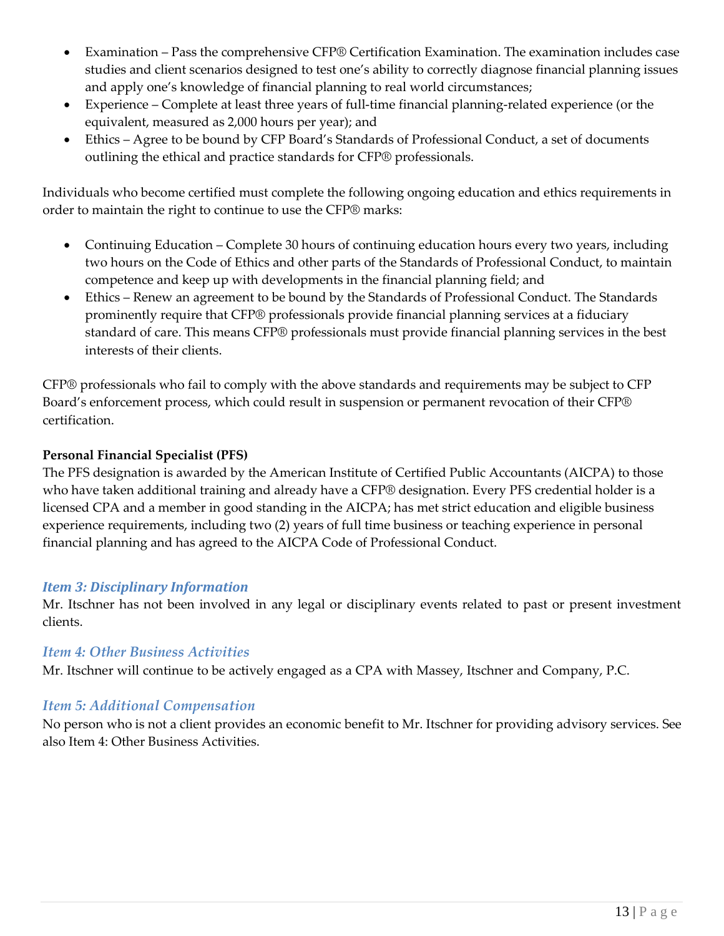- Examination Pass the comprehensive CFP® Certification Examination. The examination includes case studies and client scenarios designed to test one's ability to correctly diagnose financial planning issues and apply one's knowledge of financial planning to real world circumstances;
- Experience Complete at least three years of full-time financial planning-related experience (or the equivalent, measured as 2,000 hours per year); and
- Ethics Agree to be bound by CFP Board's Standards of Professional Conduct, a set of documents outlining the ethical and practice standards for CFP® professionals.

Individuals who become certified must complete the following ongoing education and ethics requirements in order to maintain the right to continue to use the CFP® marks:

- Continuing Education Complete 30 hours of continuing education hours every two years, including two hours on the Code of Ethics and other parts of the Standards of Professional Conduct, to maintain competence and keep up with developments in the financial planning field; and
- Ethics Renew an agreement to be bound by the Standards of Professional Conduct. The Standards prominently require that CFP® professionals provide financial planning services at a fiduciary standard of care. This means CFP® professionals must provide financial planning services in the best interests of their clients.

CFP® professionals who fail to comply with the above standards and requirements may be subject to CFP Board's enforcement process, which could result in suspension or permanent revocation of their CFP® certification.

#### **Personal Financial Specialist (PFS)**

The PFS designation is awarded by the American Institute of Certified Public Accountants (AICPA) to those who have taken additional training and already have a CFP® designation. Every PFS credential holder is a licensed CPA and a member in good standing in the AICPA; has met strict education and eligible business experience requirements, including two (2) years of full time business or teaching experience in personal financial planning and has agreed to the AICPA Code of Professional Conduct.

## *Item 3: Disciplinary Information*

Mr. Itschner has not been involved in any legal or disciplinary events related to past or present investment clients.

#### *Item 4: Other Business Activities*

Mr. Itschner will continue to be actively engaged as a CPA with Massey, Itschner and Company, P.C.

## *Item 5: Additional Compensation*

No person who is not a client provides an economic benefit to Mr. Itschner for providing advisory services. See also Item 4: Other Business Activities.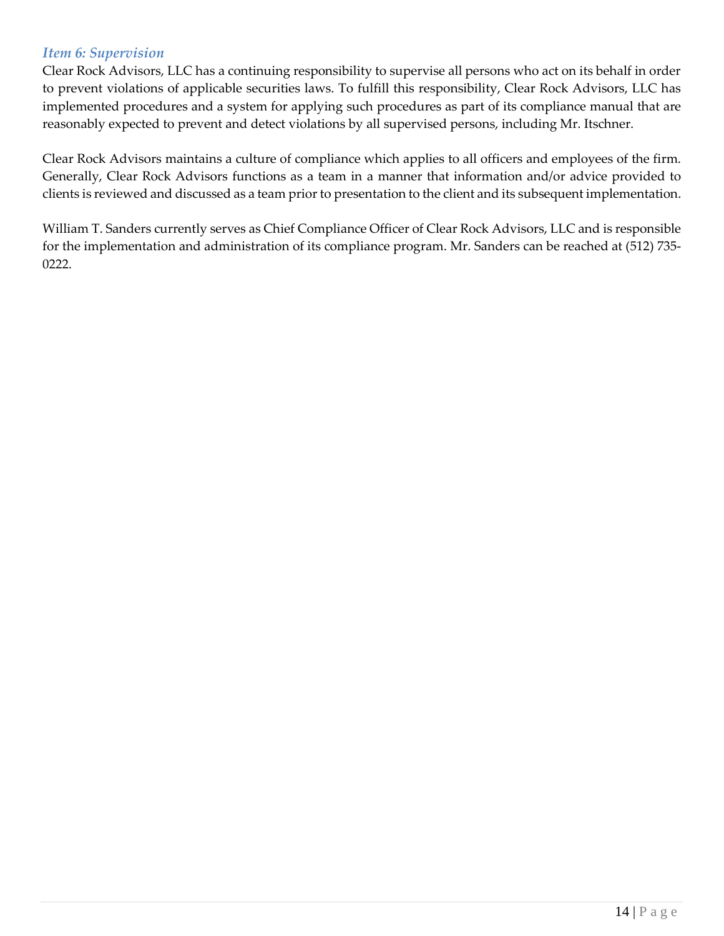#### *Item 6: Supervision*

Clear Rock Advisors, LLC has a continuing responsibility to supervise all persons who act on its behalf in order to prevent violations of applicable securities laws. To fulfill this responsibility, Clear Rock Advisors, LLC has implemented procedures and a system for applying such procedures as part of its compliance manual that are reasonably expected to prevent and detect violations by all supervised persons, including Mr. Itschner.

Clear Rock Advisors maintains a culture of compliance which applies to all officers and employees of the firm. Generally, Clear Rock Advisors functions as a team in a manner that information and/or advice provided to clients is reviewed and discussed as a team prior to presentation to the client and its subsequent implementation.

William T. Sanders currently serves as Chief Compliance Officer of Clear Rock Advisors, LLC and is responsible for the implementation and administration of its compliance program. Mr. Sanders can be reached at (512) 735- 0222.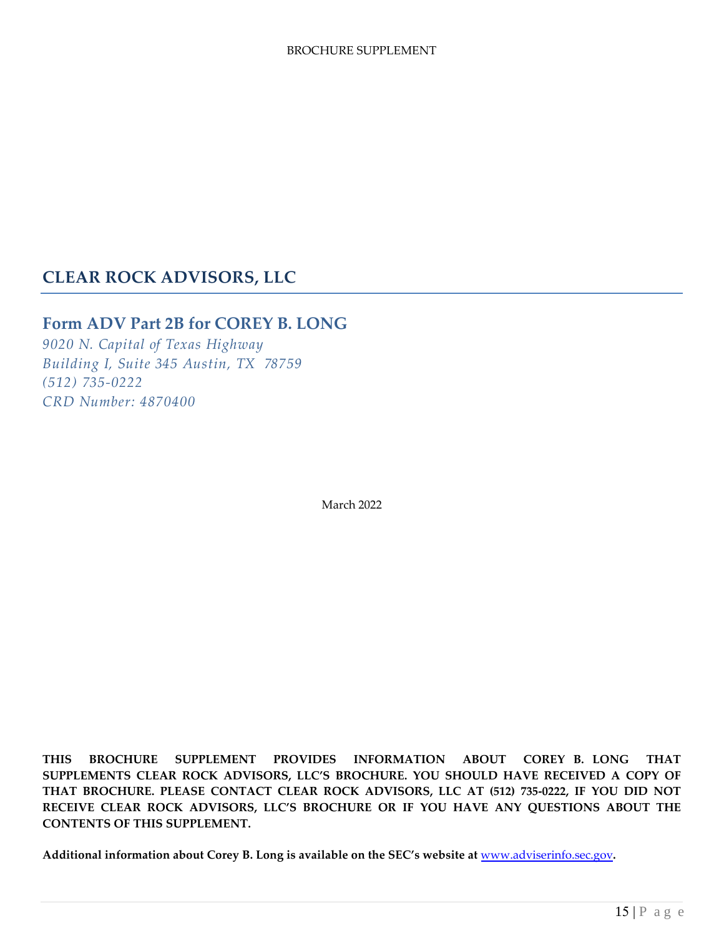## **CLEAR ROCK ADVISORS, LLC**

## **Form ADV Part 2B for COREY B. LONG**

*9020 N. Capital of Texas Highway Building I, Suite 345 Austin, TX 78759 (512) 735-0222 CRD Number: 4870400*

March 2022

**THIS BROCHURE SUPPLEMENT PROVIDES INFORMATION ABOUT COREY B. LONG THAT SUPPLEMENTS CLEAR ROCK ADVISORS, LLC'S BROCHURE. YOU SHOULD HAVE RECEIVED A COPY OF THAT BROCHURE. PLEASE CONTACT CLEAR ROCK ADVISORS, LLC AT (512) 735-0222, IF YOU DID NOT RECEIVE CLEAR ROCK ADVISORS, LLC'S BROCHURE OR IF YOU HAVE ANY QUESTIONS ABOUT THE CONTENTS OF THIS SUPPLEMENT.** 

**Additional information about Corey B. Long is available on the SEC's website at** [www.adviserinfo.sec.gov](http://www.adviserinfo.sec.gov/)**.**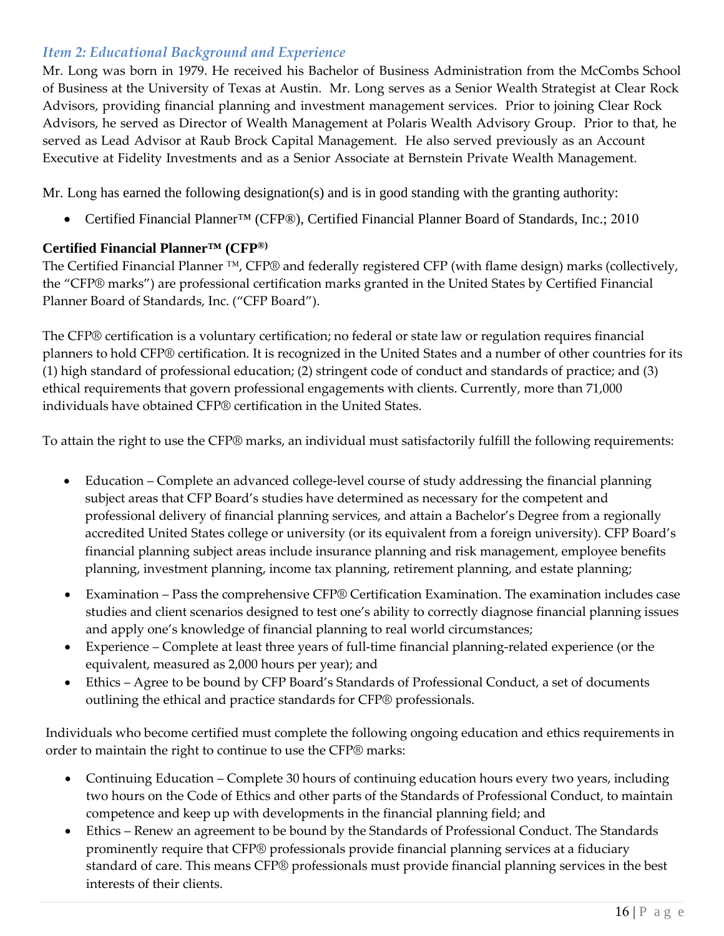## *Item 2: Educational Background and Experience*

Mr. Long was born in 1979. He received his Bachelor of Business Administration from the McCombs School of Business at the University of Texas at Austin. Mr. Long serves as a Senior Wealth Strategist at Clear Rock Advisors, providing financial planning and investment management services. Prior to joining Clear Rock Advisors, he served as Director of Wealth Management at Polaris Wealth Advisory Group. Prior to that, he served as Lead Advisor at Raub Brock Capital Management. He also served previously as an Account Executive at Fidelity Investments and as a Senior Associate at Bernstein Private Wealth Management.

Mr. Long has earned the following designation(s) and is in good standing with the granting authority:

• Certified Financial Planner™ (CFP®), Certified Financial Planner Board of Standards, Inc.; 2010

## **Certified Financial Planner™ (CFP ®)**

The Certified Financial Planner ™, CFP® and federally registered CFP (with flame design) marks (collectively, the "CFP® marks") are professional certification marks granted in the United States by Certified Financial Planner Board of Standards, Inc. ("CFP Board").

The CFP® certification is a voluntary certification; no federal or state law or regulation requires financial planners to hold CFP® certification. It is recognized in the United States and a number of other countries for its (1) high standard of professional education; (2) stringent code of conduct and standards of practice; and (3) ethical requirements that govern professional engagements with clients. Currently, more than 71,000 individuals have obtained CFP® certification in the United States.

To attain the right to use the CFP® marks, an individual must satisfactorily fulfill the following requirements:

- Education Complete an advanced college-level course of study addressing the financial planning subject areas that CFP Board's studies have determined as necessary for the competent and professional delivery of financial planning services, and attain a Bachelor's Degree from a regionally accredited United States college or university (or its equivalent from a foreign university). CFP Board's financial planning subject areas include insurance planning and risk management, employee benefits planning, investment planning, income tax planning, retirement planning, and estate planning;
- Examination Pass the comprehensive CFP® Certification Examination. The examination includes case studies and client scenarios designed to test one's ability to correctly diagnose financial planning issues and apply one's knowledge of financial planning to real world circumstances;
- Experience Complete at least three years of full-time financial planning-related experience (or the equivalent, measured as 2,000 hours per year); and
- Ethics Agree to be bound by CFP Board's Standards of Professional Conduct, a set of documents outlining the ethical and practice standards for CFP® professionals.

Individuals who become certified must complete the following ongoing education and ethics requirements in order to maintain the right to continue to use the CFP® marks:

- Continuing Education Complete 30 hours of continuing education hours every two years, including two hours on the Code of Ethics and other parts of the Standards of Professional Conduct, to maintain competence and keep up with developments in the financial planning field; and
- Ethics Renew an agreement to be bound by the Standards of Professional Conduct. The Standards prominently require that CFP® professionals provide financial planning services at a fiduciary standard of care. This means CFP® professionals must provide financial planning services in the best interests of their clients.